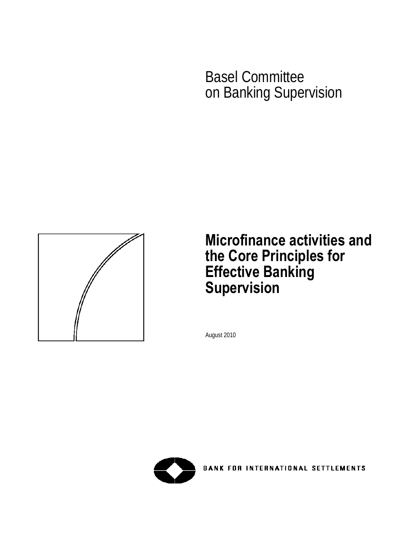Basel Committee on Banking Supervision



# **Microfinance activities and the Core Principles for Effective Banking Supervision**

August 2010



**BANK FOR INTERNATIONAL SETTLEMENTS**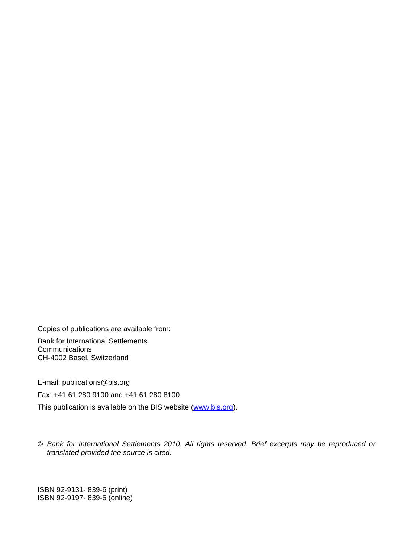Copies of publications are available from:

Bank for International Settlements **Communications** CH-4002 Basel, Switzerland

E-mail: publications@bis.org

Fax: +41 61 280 9100 and +41 61 280 8100

This publication is available on the BIS website [\(www.bis.org\)](http://www.bis.org/).

© *Bank for International Settlements 2010. All rights reserved. Brief excerpts may be reproduced or translated provided the source is cited.* 

ISBN 92-9131- 839-6 (print) ISBN 92-9197- 839-6 (online)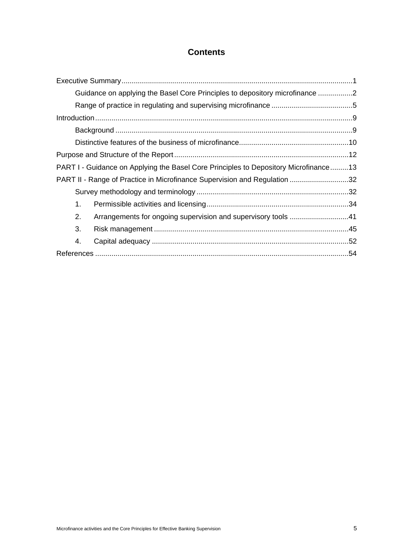# **Contents**

| Guidance on applying the Basel Core Principles to depository microfinance 2          |  |
|--------------------------------------------------------------------------------------|--|
|                                                                                      |  |
|                                                                                      |  |
|                                                                                      |  |
|                                                                                      |  |
|                                                                                      |  |
| PART I - Guidance on Applying the Basel Core Principles to Depository Microfinance13 |  |
| PART II - Range of Practice in Microfinance Supervision and Regulation 32            |  |
|                                                                                      |  |
| 1.                                                                                   |  |
| 2.<br>Arrangements for ongoing supervision and supervisory tools 41                  |  |
| 3.                                                                                   |  |
| 4.                                                                                   |  |
|                                                                                      |  |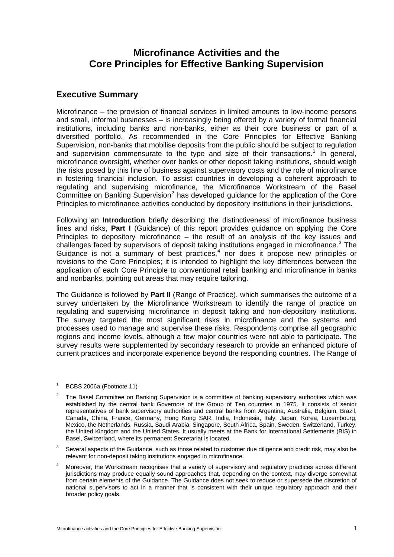## **Microfinance Activities and the Core Principles for Effective Banking Supervision**

## <span id="page-6-0"></span>**Executive Summary**

Microfinance – the provision of financial services in limited amounts to low-income persons and small, informal businesses – is increasingly being offered by a variety of formal financial institutions, including banks and non-banks, either as their core business or part of a diversified portfolio. As recommended in the Core Principles for Effective Banking Supervision, non-banks that mobilise deposits from the public should be subject to regulation and supervision commensurate to the type and size of their transactions.<sup>[1](#page-6-1)</sup> In general, microfinance oversight, whether over banks or other deposit taking institutions, should weigh the risks posed by this line of business against supervisory costs and the role of microfinance in fostering financial inclusion. To assist countries in developing a coherent approach to regulating and supervising microfinance, the Microfinance Workstream of the Basel Committee on Banking Supervision<sup>[2](#page-6-2)</sup> has developed guidance for the application of the Core Principles to microfinance activities conducted by depository institutions in their jurisdictions.

Following an **Introduction** briefly describing the distinctiveness of microfinance business lines and risks, **Part I** (Guidance) of this report provides guidance on applying the Core Principles to depository microfinance – the result of an analysis of the key issues and challenges faced by supervisors of deposit taking institutions engaged in microfinance.<sup>[3](#page-6-3)</sup> The Guidance is not a summary of best practices, $4$  nor does it propose new principles or revisions to the Core Principles; it is intended to highlight the key differences between the application of each Core Principle to conventional retail banking and microfinance in banks and nonbanks, pointing out areas that may require tailoring.

The Guidance is followed by **Part II** (Range of Practice), which summarises the outcome of a survey undertaken by the Microfinance Workstream to identify the range of practice on regulating and supervising microfinance in deposit taking and non-depository institutions. The survey targeted the most significant risks in microfinance and the systems and processes used to manage and supervise these risks. Respondents comprise all geographic regions and income levels, although a few major countries were not able to participate. The survey results were supplemented by secondary research to provide an enhanced picture of current practices and incorporate experience beyond the responding countries. The Range of

 $\overline{a}$ 

<span id="page-6-3"></span>3 Several aspects of the Guidance, such as those related to customer due diligence and credit risk, may also be relevant for non-deposit taking institutions engaged in microfinance.

<span id="page-6-1"></span><sup>1</sup> BCBS 2006a (Footnote 11)

<span id="page-6-2"></span> $\overline{2}$  The Basel Committee on Banking Supervision is a committee of banking supervisory authorities which was established by the central bank Governors of the Group of Ten countries in 1975. It consists of senior representatives of bank supervisory authorities and central banks from Argentina, Australia, Belgium, Brazil, Canada, China, France, Germany, Hong Kong SAR, India, Indonesia, Italy, Japan, Korea, Luxembourg, Mexico, the Netherlands, Russia, Saudi Arabia, Singapore, South Africa, Spain, Sweden, Switzerland, Turkey, the United Kingdom and the United States. It usually meets at the Bank for International Settlements (BIS) in Basel, Switzerland, where its permanent Secretariat is located.

<span id="page-6-4"></span><sup>4</sup> Moreover, the Workstream recognises that a variety of supervisory and regulatory practices across different jurisdictions may produce equally sound approaches that, depending on the context, may diverge somewhat from certain elements of the Guidance. The Guidance does not seek to reduce or supersede the discretion of national supervisors to act in a manner that is consistent with their unique regulatory approach and their broader policy goals.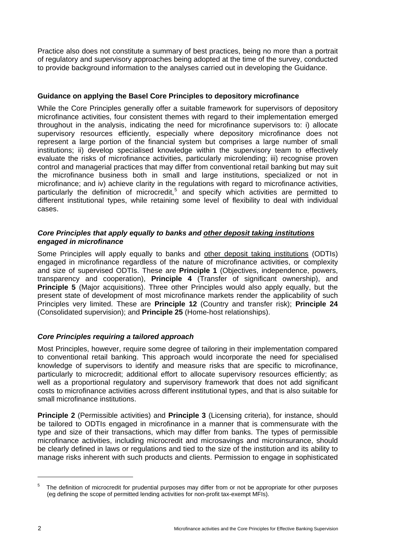Practice also does not constitute a summary of best practices, being no more than a portrait of regulatory and supervisory approaches being adopted at the time of the survey, conducted to provide background information to the analyses carried out in developing the Guidance.

## <span id="page-7-0"></span>**Guidance on applying the Basel Core Principles to depository microfinance**

While the Core Principles generally offer a suitable framework for supervisors of depository microfinance activities, four consistent themes with regard to their implementation emerged throughout in the analysis, indicating the need for microfinance supervisors to: i) allocate supervisory resources efficiently, especially where depository microfinance does not represent a large portion of the financial system but comprises a large number of small institutions; ii) develop specialised knowledge within the supervisory team to effectively evaluate the risks of microfinance activities, particularly microlending; iii) recognise proven control and managerial practices that may differ from conventional retail banking but may suit the microfinance business both in small and large institutions, specialized or not in microfinance; and iv) achieve clarity in the regulations with regard to microfinance activities, particularly the definition of microcredit,<sup>[5](#page-7-1)</sup> and specify which activities are permitted to different institutional types, while retaining some level of flexibility to deal with individual cases.

## *Core Principles that apply equally to banks and other deposit taking institutions engaged in microfinance*

Some Principles will apply equally to banks and other deposit taking institutions (ODTIs) engaged in microfinance regardless of the nature of microfinance activities, or complexity and size of supervised ODTIs. These are **Principle 1** (Objectives, independence, powers, transparency and cooperation), **Principle 4** (Transfer of significant ownership), and **Principle 5** (Major acquisitions). Three other Principles would also apply equally, but the present state of development of most microfinance markets render the applicability of such Principles very limited. These are **Principle 12** (Country and transfer risk); **Principle 24**  (Consolidated supervision); and **Principle 25** (Home-host relationships).

## *Core Principles requiring a tailored approach*

Most Principles, however, require some degree of tailoring in their implementation compared to conventional retail banking. This approach would incorporate the need for specialised knowledge of supervisors to identify and measure risks that are specific to microfinance, particularly to microcredit; additional effort to allocate supervisory resources efficiently; as well as a proportional regulatory and supervisory framework that does not add significant costs to microfinance activities across different institutional types, and that is also suitable for small microfinance institutions.

**Principle 2** (Permissible activities) and **Principle 3** (Licensing criteria), for instance, should be tailored to ODTIs engaged in microfinance in a manner that is commensurate with the type and size of their transactions, which may differ from banks. The types of permissible microfinance activities, including microcredit and microsavings and microinsurance, should be clearly defined in laws or regulations and tied to the size of the institution and its ability to manage risks inherent with such products and clients. Permission to engage in sophisticated

<span id="page-7-1"></span><sup>5</sup> The definition of microcredit for prudential purposes may differ from or not be appropriate for other purposes (eg defining the scope of permitted lending activities for non-profit tax-exempt MFIs).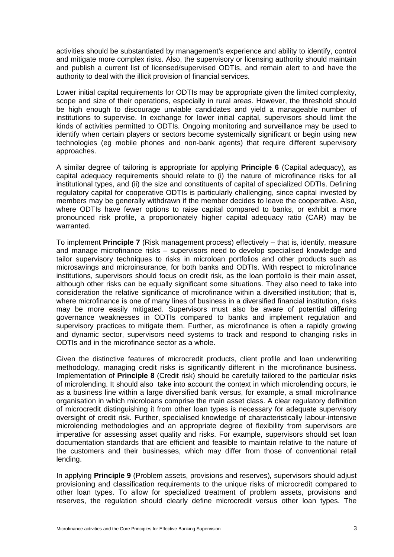activities should be substantiated by management's experience and ability to identify, control and mitigate more complex risks. Also, the supervisory or licensing authority should maintain and publish a current list of licensed/supervised ODTIs, and remain alert to and have the authority to deal with the illicit provision of financial services.

Lower initial capital requirements for ODTIs may be appropriate given the limited complexity, scope and size of their operations, especially in rural areas. However, the threshold should be high enough to discourage unviable candidates and yield a manageable number of institutions to supervise. In exchange for lower initial capital, supervisors should limit the kinds of activities permitted to ODTIs. Ongoing monitoring and surveillance may be used to identify when certain players or sectors become systemically significant or begin using new technologies (eg mobile phones and non-bank agents) that require different supervisory approaches.

A similar degree of tailoring is appropriate for applying **Principle 6** (Capital adequacy)*,* as capital adequacy requirements should relate to (i) the nature of microfinance risks for all institutional types, and (ii) the size and constituents of capital of specialized ODTIs. Defining regulatory capital for cooperative ODTIs is particularly challenging, since capital invested by members may be generally withdrawn if the member decides to leave the cooperative. Also, where ODTIs have fewer options to raise capital compared to banks, or exhibit a more pronounced risk profile, a proportionately higher capital adequacy ratio (CAR) may be warranted.

To implement **Principle 7** (Risk management process) effectively – that is, identify, measure and manage microfinance risks – supervisors need to develop specialised knowledge and tailor supervisory techniques to risks in microloan portfolios and other products such as microsavings and microinsurance, for both banks and ODTIs. With respect to microfinance institutions, supervisors should focus on credit risk, as the loan portfolio is their main asset, although other risks can be equally significant some situations. They also need to take into consideration the relative significance of microfinance within a diversified institution; that is, where microfinance is one of many lines of business in a diversified financial institution, risks may be more easily mitigated. Supervisors must also be aware of potential differing governance weaknesses in ODTIs compared to banks and implement regulation and supervisory practices to mitigate them. Further, as microfinance is often a rapidly growing and dynamic sector, supervisors need systems to track and respond to changing risks in ODTIs and in the microfinance sector as a whole.

Given the distinctive features of microcredit products, client profile and loan underwriting methodology, managing credit risks is significantly different in the microfinance business. Implementation of **Principle 8** (Credit risk) should be carefully tailored to the particular risks of microlending. It should also take into account the context in which microlending occurs, ie as a business line within a large diversified bank versus, for example, a small microfinance organisation in which microloans comprise the main asset class. A clear regulatory definition of microcredit distinguishing it from other loan types is necessary for adequate supervisory oversight of credit risk. Further, specialised knowledge of characteristically labour-intensive microlending methodologies and an appropriate degree of flexibility from supervisors are imperative for assessing asset quality and risks. For example, supervisors should set loan documentation standards that are efficient and feasible to maintain relative to the nature of the customers and their businesses, which may differ from those of conventional retail lending.

In applying **Principle 9** (Problem assets, provisions and reserves)*,* supervisors should adjust provisioning and classification requirements to the unique risks of microcredit compared to other loan types. To allow for specialized treatment of problem assets, provisions and reserves, the regulation should clearly define microcredit versus other loan types. The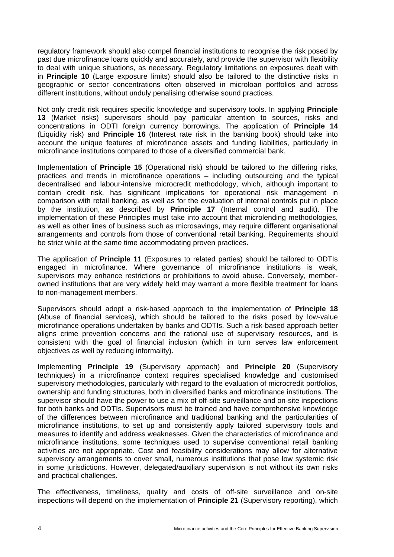regulatory framework should also compel financial institutions to recognise the risk posed by past due microfinance loans quickly and accurately, and provide the supervisor with flexibility to deal with unique situations, as necessary. Regulatory limitations on exposures dealt with in **Principle 10** (Large exposure limits) should also be tailored to the distinctive risks in geographic or sector concentrations often observed in microloan portfolios and across different institutions, without unduly penalising otherwise sound practices.

Not only credit risk requires specific knowledge and supervisory tools. In applying **Principle 13** (Market risks) supervisors should pay particular attention to sources, risks and concentrations in ODTI foreign currency borrowings. The application of **Principle 14** (Liquidity risk) and **Principle 16** (Interest rate risk in the banking book) should take into account the unique features of microfinance assets and funding liabilities, particularly in microfinance institutions compared to those of a diversified commercial bank.

Implementation of **Principle 15** (Operational risk) should be tailored to the differing risks, practices and trends in microfinance operations – including outsourcing and the typical decentralised and labour-intensive microcredit methodology, which, although important to contain credit risk, has significant implications for operational risk management in comparison with retail banking, as well as for the evaluation of internal controls put in place by the institution, as described by **Principle 17** (Internal control and audit). The implementation of these Principles must take into account that microlending methodologies, as well as other lines of business such as microsavings, may require different organisational arrangements and controls from those of conventional retail banking. Requirements should be strict while at the same time accommodating proven practices.

The application of **Principle 11** (Exposures to related parties) should be tailored to ODTIs engaged in microfinance. Where governance of microfinance institutions is weak, supervisors may enhance restrictions or prohibitions to avoid abuse. Conversely, memberowned institutions that are very widely held may warrant a more flexible treatment for loans to non-management members.

Supervisors should adopt a risk-based approach to the implementation of **Principle 18** (Abuse of financial services), which should be tailored to the risks posed by low-value microfinance operations undertaken by banks and ODTIs. Such a risk-based approach better aligns crime prevention concerns and the rational use of supervisory resources, and is consistent with the goal of financial inclusion (which in turn serves law enforcement objectives as well by reducing informality).

Implementing **Principle 19** (Supervisory approach) and **Principle 20** (Supervisory techniques) in a microfinance context requires specialised knowledge and customised supervisory methodologies, particularly with regard to the evaluation of microcredit portfolios, ownership and funding structures, both in diversified banks and microfinance institutions. The supervisor should have the power to use a mix of off-site surveillance and on-site inspections for both banks and ODTIs. Supervisors must be trained and have comprehensive knowledge of the differences between microfinance and traditional banking and the particularities of microfinance institutions, to set up and consistently apply tailored supervisory tools and measures to identify and address weaknesses. Given the characteristics of microfinance and microfinance institutions, some techniques used to supervise conventional retail banking activities are not appropriate. Cost and feasibility considerations may allow for alternative supervisory arrangements to cover small, numerous institutions that pose low systemic risk in some jurisdictions. However, delegated/auxiliary supervision is not without its own risks and practical challenges.

The effectiveness, timeliness, quality and costs of off-site surveillance and on-site inspections will depend on the implementation of **Principle 21** (Supervisory reporting), which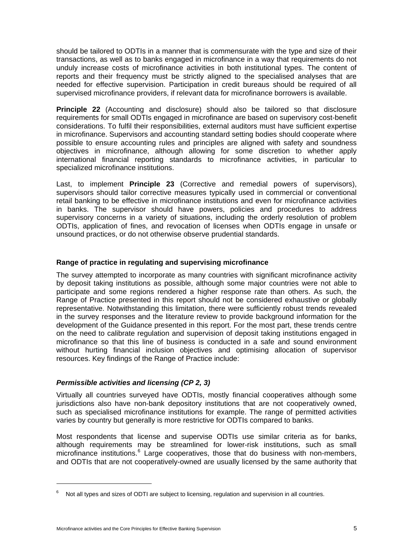should be tailored to ODTIs in a manner that is commensurate with the type and size of their transactions, as well as to banks engaged in microfinance in a way that requirements do not unduly increase costs of microfinance activities in both institutional types. The content of reports and their frequency must be strictly aligned to the specialised analyses that are needed for effective supervision. Participation in credit bureaus should be required of all supervised microfinance providers, if relevant data for microfinance borrowers is available.

**Principle 22** (Accounting and disclosure) should also be tailored so that disclosure requirements for small ODTIs engaged in microfinance are based on supervisory cost-benefit considerations. To fulfil their responsibilities, external auditors must have sufficient expertise in microfinance. Supervisors and accounting standard setting bodies should cooperate where possible to ensure accounting rules and principles are aligned with safety and soundness objectives in microfinance, although allowing for some discretion to whether apply international financial reporting standards to microfinance activities, in particular to specialized microfinance institutions.

Last, to implement **Principle 23** (Corrective and remedial powers of supervisors), supervisors should tailor corrective measures typically used in commercial or conventional retail banking to be effective in microfinance institutions and even for microfinance activities in banks. The supervisor should have powers, policies and procedures to address supervisory concerns in a variety of situations, including the orderly resolution of problem ODTIs, application of fines, and revocation of licenses when ODTIs engage in unsafe or unsound practices, or do not otherwise observe prudential standards.

## <span id="page-10-0"></span>**Range of practice in regulating and supervising microfinance**

The survey attempted to incorporate as many countries with significant microfinance activity by deposit taking institutions as possible, although some major countries were not able to participate and some regions rendered a higher response rate than others. As such, the Range of Practice presented in this report should not be considered exhaustive or globally representative. Notwithstanding this limitation, there were sufficiently robust trends revealed in the survey responses and the literature review to provide background information for the development of the Guidance presented in this report. For the most part, these trends centre on the need to calibrate regulation and supervision of deposit taking institutions engaged in microfinance so that this line of business is conducted in a safe and sound environment without hurting financial inclusion objectives and optimising allocation of supervisor resources. Key findings of the Range of Practice include:

## *Permissible activities and licensing (CP 2, 3)*

Virtually all countries surveyed have ODTIs, mostly financial cooperatives although some jurisdictions also have non-bank depository institutions that are not cooperatively owned, such as specialised microfinance institutions for example. The range of permitted activities varies by country but generally is more restrictive for ODTIs compared to banks.

Most respondents that license and supervise ODTIs use similar criteria as for banks, although requirements may be streamlined for lower-risk institutions, such as small microfinance institutions.<sup>[6](#page-10-1)</sup> Large cooperatives, those that do business with non-members, and ODTIs that are not cooperatively-owned are usually licensed by the same authority that

<span id="page-10-1"></span><sup>6</sup> Not all types and sizes of ODTI are subject to licensing, regulation and supervision in all countries.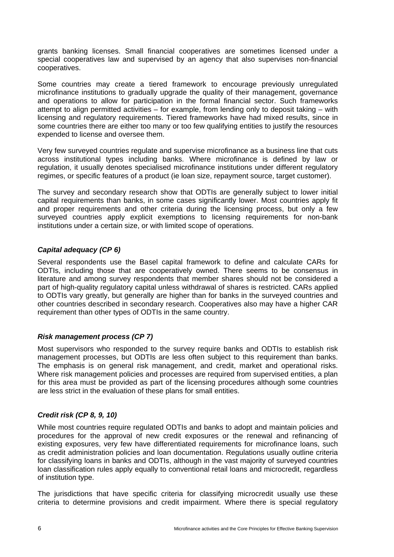grants banking licenses. Small financial cooperatives are sometimes licensed under a special cooperatives law and supervised by an agency that also supervises non-financial cooperatives.

Some countries may create a tiered framework to encourage previously unregulated microfinance institutions to gradually upgrade the quality of their management, governance and operations to allow for participation in the formal financial sector. Such frameworks attempt to align permitted activities – for example, from lending only to deposit taking – with licensing and regulatory requirements. Tiered frameworks have had mixed results, since in some countries there are either too many or too few qualifying entities to justify the resources expended to license and oversee them.

Very few surveyed countries regulate and supervise microfinance as a business line that cuts across institutional types including banks. Where microfinance is defined by law or regulation, it usually denotes specialised microfinance institutions under different regulatory regimes, or specific features of a product (ie loan size, repayment source, target customer).

The survey and secondary research show that ODTIs are generally subject to lower initial capital requirements than banks, in some cases significantly lower. Most countries apply fit and proper requirements and other criteria during the licensing process, but only a few surveyed countries apply explicit exemptions to licensing requirements for non-bank institutions under a certain size, or with limited scope of operations.

## *Capital adequacy (CP 6)*

Several respondents use the Basel capital framework to define and calculate CARs for ODTIs, including those that are cooperatively owned. There seems to be consensus in literature and among survey respondents that member shares should not be considered a part of high-quality regulatory capital unless withdrawal of shares is restricted. CARs applied to ODTIs vary greatly, but generally are higher than for banks in the surveyed countries and other countries described in secondary research. Cooperatives also may have a higher CAR requirement than other types of ODTIs in the same country.

## *Risk management process (CP 7)*

Most supervisors who responded to the survey require banks and ODTIs to establish risk management processes, but ODTIs are less often subject to this requirement than banks. The emphasis is on general risk management, and credit, market and operational risks. Where risk management policies and processes are required from supervised entities, a plan for this area must be provided as part of the licensing procedures although some countries are less strict in the evaluation of these plans for small entities.

## *Credit risk (CP 8, 9, 10)*

While most countries require regulated ODTIs and banks to adopt and maintain policies and procedures for the approval of new credit exposures or the renewal and refinancing of existing exposures, very few have differentiated requirements for microfinance loans, such as credit administration policies and loan documentation. Regulations usually outline criteria for classifying loans in banks and ODTIs, although in the vast majority of surveyed countries loan classification rules apply equally to conventional retail loans and microcredit, regardless of institution type.

The jurisdictions that have specific criteria for classifying microcredit usually use these criteria to determine provisions and credit impairment. Where there is special regulatory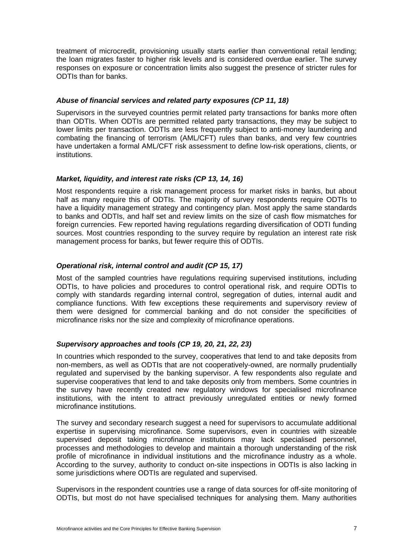treatment of microcredit, provisioning usually starts earlier than conventional retail lending; the loan migrates faster to higher risk levels and is considered overdue earlier. The survey responses on exposure or concentration limits also suggest the presence of stricter rules for ODTIs than for banks.

## *Abuse of financial services and related party exposures (CP 11, 18)*

Supervisors in the surveyed countries permit related party transactions for banks more often than ODTIs. When ODTIs are permitted related party transactions, they may be subject to lower limits per transaction. ODTIs are less frequently subject to anti-money laundering and combating the financing of terrorism (AML/CFT) rules than banks, and very few countries have undertaken a formal AML/CFT risk assessment to define low-risk operations, clients, or institutions.

## *Market, liquidity, and interest rate risks (CP 13, 14, 16)*

Most respondents require a risk management process for market risks in banks, but about half as many require this of ODTIs. The majority of survey respondents require ODTIs to have a liquidity management strategy and contingency plan. Most apply the same standards to banks and ODTIs, and half set and review limits on the size of cash flow mismatches for foreign currencies. Few reported having regulations regarding diversification of ODTI funding sources. Most countries responding to the survey require by regulation an interest rate risk management process for banks, but fewer require this of ODTIs.

## *Operational risk, internal control and audit (CP 15, 17)*

Most of the sampled countries have regulations requiring supervised institutions, including ODTIs, to have policies and procedures to control operational risk, and require ODTIs to comply with standards regarding internal control, segregation of duties, internal audit and compliance functions. With few exceptions these requirements and supervisory review of them were designed for commercial banking and do not consider the specificities of microfinance risks nor the size and complexity of microfinance operations.

## *Supervisory approaches and tools (CP 19, 20, 21, 22, 23)*

In countries which responded to the survey, cooperatives that lend to and take deposits from non-members, as well as ODTIs that are not cooperatively-owned, are normally prudentially regulated and supervised by the banking supervisor. A few respondents also regulate and supervise cooperatives that lend to and take deposits only from members. Some countries in the survey have recently created new regulatory windows for specialised microfinance institutions, with the intent to attract previously unregulated entities or newly formed microfinance institutions.

The survey and secondary research suggest a need for supervisors to accumulate additional expertise in supervising microfinance. Some supervisors, even in countries with sizeable supervised deposit taking microfinance institutions may lack specialised personnel, processes and methodologies to develop and maintain a thorough understanding of the risk profile of microfinance in individual institutions and the microfinance industry as a whole. According to the survey, authority to conduct on-site inspections in ODTIs is also lacking in some jurisdictions where ODTIs are regulated and supervised.

Supervisors in the respondent countries use a range of data sources for off-site monitoring of ODTIs, but most do not have specialised techniques for analysing them. Many authorities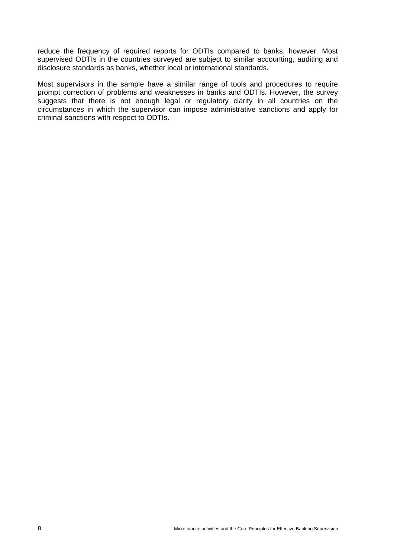reduce the frequency of required reports for ODTIs compared to banks, however. Most supervised ODTIs in the countries surveyed are subject to similar accounting, auditing and disclosure standards as banks, whether local or international standards.

Most supervisors in the sample have a similar range of tools and procedures to require prompt correction of problems and weaknesses in banks and ODTIs. However, the survey suggests that there is not enough legal or regulatory clarity in all countries on the circumstances in which the supervisor can impose administrative sanctions and apply for criminal sanctions with respect to ODTIs.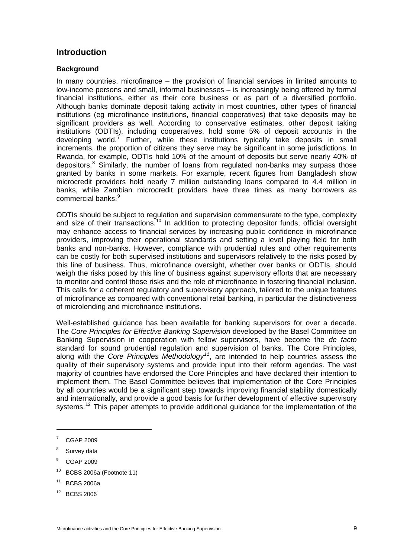## <span id="page-14-0"></span>**Introduction**

## <span id="page-14-1"></span>**Background**

In many countries, microfinance – the provision of financial services in limited amounts to low-income persons and small, informal businesses – is increasingly being offered by formal financial institutions, either as their core business or as part of a diversified portfolio. Although banks dominate deposit taking activity in most countries, other types of financial institutions (eg microfinance institutions, financial cooperatives) that take deposits may be significant providers as well. According to conservative estimates, other deposit taking institutions (ODTIs), including cooperatives, hold some 5% of deposit accounts in the developing world.<sup>[7](#page-14-2)</sup> Further, while these institutions typically take deposits in small increments, the proportion of citizens they serve may be significant in some jurisdictions. In Rwanda, for example, ODTIs hold 10% of the amount of deposits but serve nearly 40% of depositors.<sup>[8](#page-14-3)</sup> Similarly, the number of loans from regulated non-banks may surpass those granted by banks in some markets. For example, recent figures from Bangladesh show microcredit providers hold nearly 7 million outstanding loans compared to 4.4 million in banks, while Zambian microcredit providers have three times as many borrowers as commercial banks.<sup>[9](#page-14-4)</sup>

ODTIs should be subject to regulation and supervision commensurate to the type, complexity and size of their transactions.<sup>[10](#page-14-5)</sup> In addition to protecting depositor funds, official oversight may enhance access to financial services by increasing public confidence in microfinance providers, improving their operational standards and setting a level playing field for both banks and non-banks. However, compliance with prudential rules and other requirements can be costly for both supervised institutions and supervisors relatively to the risks posed by this line of business. Thus, microfinance oversight, whether over banks or ODTIs, should weigh the risks posed by this line of business against supervisory efforts that are necessary to monitor and control those risks and the role of microfinance in fostering financial inclusion. This calls for a coherent regulatory and supervisory approach, tailored to the unique features of microfinance as compared with conventional retail banking, in particular the distinctiveness of microlending and microfinance institutions.

Well-established guidance has been available for banking supervisors for over a decade. The *Core Principles for Effective Banking Supervision* developed by the Basel Committee on Banking Supervision in cooperation with fellow supervisors, have become the *de facto* standard for sound prudential regulation and supervision of banks. The Core Principles, along with the *Core Principles Methodology[11](#page-14-6)*, are intended to help countries assess the quality of their supervisory systems and provide input into their reform agendas. The vast majority of countries have endorsed the Core Principles and have declared their intention to implement them. The Basel Committee believes that implementation of the Core Principles by all countries would be a significant step towards improving financial stability domestically and internationally, and provide a good basis for further development of effective supervisory systems.<sup>[12](#page-14-7)</sup> This paper attempts to provide additional guidance for the implementation of the

- <span id="page-14-3"></span>8 Survey data
- <span id="page-14-4"></span>9 CGAP 2009
- <span id="page-14-5"></span> $10$  BCBS 2006a (Footnote 11)
- <span id="page-14-6"></span>11 BCBS 2006a
- <span id="page-14-7"></span>12 BCBS 2006

<span id="page-14-2"></span><sup>7</sup> CGAP 2009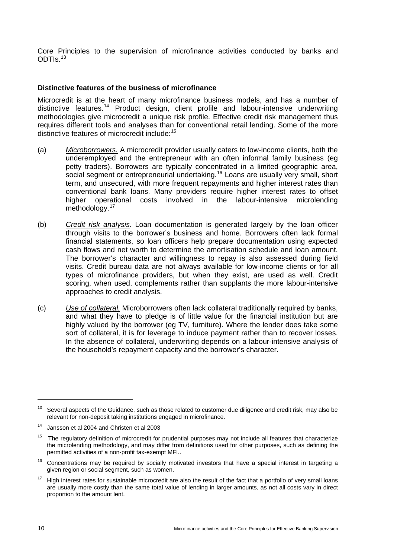Core Principles to the supervision of microfinance activities conducted by banks and ODTIs.[13](#page-15-1)

## <span id="page-15-0"></span>**Distinctive features of the business of microfinance**

Microcredit is at the heart of many microfinance business models, and has a number of distinctive features.[14](#page-15-2) Product design, client profile and labour-intensive underwriting methodologies give microcredit a unique risk profile. Effective credit risk management thus requires different tools and analyses than for conventional retail lending. Some of the more distinctive features of microcredit include:[15](#page-15-3)

- (a) *Microborrowers.* A microcredit provider usually caters to low-income clients, both the underemployed and the entrepreneur with an often informal family business (eg petty traders). Borrowers are typically concentrated in a limited geographic area, social segment or entrepreneurial undertaking.[16](#page-15-4) Loans are usually very small, short term, and unsecured, with more frequent repayments and higher interest rates than conventional bank loans. Many providers require higher interest rates to offset higher operational costs involved in the labour-intensive microlending methodology.<sup>[17](#page-15-5)</sup>
- (b) *Credit risk analysis.* Loan documentation is generated largely by the loan officer through visits to the borrower's business and home. Borrowers often lack formal financial statements, so loan officers help prepare documentation using expected cash flows and net worth to determine the amortisation schedule and loan amount. The borrower's character and willingness to repay is also assessed during field visits. Credit bureau data are not always available for low-income clients or for all types of microfinance providers, but when they exist, are used as well. Credit scoring, when used, complements rather than supplants the more labour-intensive approaches to credit analysis.
- (c) *Use of collateral.* Microborrowers often lack collateral traditionally required by banks, and what they have to pledge is of little value for the financial institution but are highly valued by the borrower (eg TV, furniture). Where the lender does take some sort of collateral, it is for leverage to induce payment rather than to recover losses. In the absence of collateral, underwriting depends on a labour-intensive analysis of the household's repayment capacity and the borrower's character.

<span id="page-15-1"></span> $13$  Several aspects of the Guidance, such as those related to customer due diligence and credit risk, may also be relevant for non-deposit taking institutions engaged in microfinance.

<span id="page-15-2"></span><sup>14</sup> Jansson et al 2004 and Christen et al 2003

<span id="page-15-3"></span> $15$  The regulatory definition of microcredit for prudential purposes may not include all features that characterize the microlending methodology, and may differ from definitions used for other purposes, such as defining the permitted activities of a non-profit tax-exempt MFI..

<span id="page-15-4"></span><sup>&</sup>lt;sup>16</sup> Concentrations may be required by socially motivated investors that have a special interest in targeting a given region or social segment, such as women.

<span id="page-15-5"></span>High interest rates for sustainable microcredit are also the result of the fact that a portfolio of very small loans are usually more costly than the same total value of lending in larger amounts, as not all costs vary in direct proportion to the amount lent.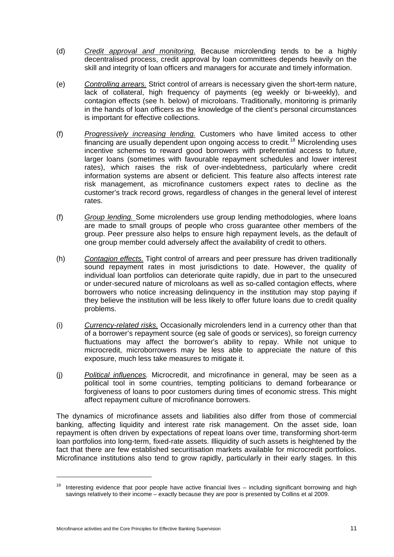- (d) *Credit approval and monitoring.* Because microlending tends to be a highly decentralised process, credit approval by loan committees depends heavily on the skill and integrity of loan officers and managers for accurate and timely information.
- (e) *Controlling arrears.* Strict control of arrears is necessary given the short-term nature, lack of collateral, high frequency of payments (eg weekly or bi-weekly), and contagion effects (see h. below) of microloans. Traditionally, monitoring is primarily in the hands of loan officers as the knowledge of the client's personal circumstances is important for effective collections.
- (f) *Progressively increasing lending.* Customers who have limited access to other financing are usually dependent upon ongoing access to credit.<sup>[18](#page-16-0)</sup> Microlending uses incentive schemes to reward good borrowers with preferential access to future, larger loans (sometimes with favourable repayment schedules and lower interest rates), which raises the risk of over-indebtedness, particularly where credit information systems are absent or deficient. This feature also affects interest rate risk management, as microfinance customers expect rates to decline as the customer's track record grows, regardless of changes in the general level of interest rates.
- (f) *Group lending.* Some microlenders use group lending methodologies, where loans are made to small groups of people who cross guarantee other members of the group. Peer pressure also helps to ensure high repayment levels, as the default of one group member could adversely affect the availability of credit to others.
- (h) *Contagion effects.* Tight control of arrears and peer pressure has driven traditionally sound repayment rates in most jurisdictions to date. However, the quality of individual loan portfolios can deteriorate quite rapidly, due in part to the unsecured or under-secured nature of microloans as well as so-called contagion effects, where borrowers who notice increasing delinquency in the institution may stop paying if they believe the institution will be less likely to offer future loans due to credit quality problems.
- (i) *Currency-related risks.* Occasionally microlenders lend in a currency other than that of a borrower's repayment source (eg sale of goods or services), so foreign currency fluctuations may affect the borrower's ability to repay. While not unique to microcredit, microborrowers may be less able to appreciate the nature of this exposure, much less take measures to mitigate it.
- (j) *Political influences.* Microcredit, and microfinance in general, may be seen as a political tool in some countries, tempting politicians to demand forbearance or forgiveness of loans to poor customers during times of economic stress. This might affect repayment culture of microfinance borrowers.

The dynamics of microfinance assets and liabilities also differ from those of commercial banking, affecting liquidity and interest rate risk management. On the asset side, loan repayment is often driven by expectations of repeat loans over time, transforming short-term loan portfolios into long-term, fixed-rate assets. Illiquidity of such assets is heightened by the fact that there are few established securitisation markets available for microcredit portfolios. Microfinance institutions also tend to grow rapidly, particularly in their early stages. In this

 $\overline{a}$ 

<span id="page-16-0"></span> $18$  Interesting evidence that poor people have active financial lives  $-$  including significant borrowing and high savings relatively to their income – exactly because they are poor is presented by Collins et al 2009.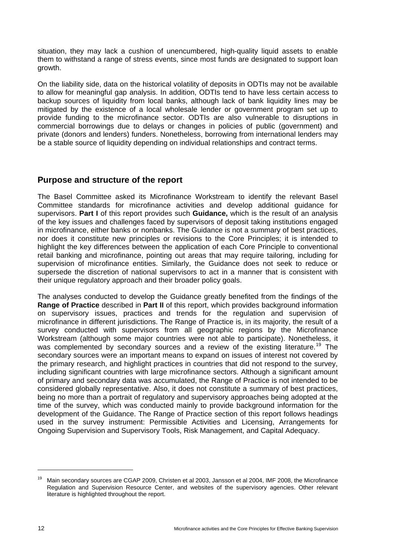situation, they may lack a cushion of unencumbered, high-quality liquid assets to enable them to withstand a range of stress events, since most funds are designated to support loan growth.

On the liability side, data on the historical volatility of deposits in ODTIs may not be available to allow for meaningful gap analysis. In addition, ODTIs tend to have less certain access to backup sources of liquidity from local banks, although lack of bank liquidity lines may be mitigated by the existence of a local wholesale lender or government program set up to provide funding to the microfinance sector. ODTIs are also vulnerable to disruptions in commercial borrowings due to delays or changes in policies of public (government) and private (donors and lenders) funders. Nonetheless, borrowing from international lenders may be a stable source of liquidity depending on individual relationships and contract terms.

## <span id="page-17-0"></span>**Purpose and structure of the report**

The Basel Committee asked its Microfinance Workstream to identify the relevant Basel Committee standards for microfinance activities and develop additional guidance for supervisors. **Part I** of this report provides such **Guidance,** which is the result of an analysis of the key issues and challenges faced by supervisors of deposit taking institutions engaged in microfinance, either banks or nonbanks. The Guidance is not a summary of best practices, nor does it constitute new principles or revisions to the Core Principles; it is intended to highlight the key differences between the application of each Core Principle to conventional retail banking and microfinance, pointing out areas that may require tailoring, including for supervision of microfinance entities. Similarly, the Guidance does not seek to reduce or supersede the discretion of national supervisors to act in a manner that is consistent with their unique regulatory approach and their broader policy goals.

The analyses conducted to develop the Guidance greatly benefited from the findings of the **Range of Practice** described in **Part II** of this report, which provides background information on supervisory issues, practices and trends for the regulation and supervision of microfinance in different jurisdictions. The Range of Practice is, in its majority, the result of a survey conducted with supervisors from all geographic regions by the Microfinance Workstream (although some major countries were not able to participate). Nonetheless, it was complemented by secondary sources and a review of the existing literature.<sup>[19](#page-17-1)</sup> The secondary sources were an important means to expand on issues of interest not covered by the primary research, and highlight practices in countries that did not respond to the survey, including significant countries with large microfinance sectors. Although a significant amount of primary and secondary data was accumulated, the Range of Practice is not intended to be considered globally representative. Also, it does not constitute a summary of best practices, being no more than a portrait of regulatory and supervisory approaches being adopted at the time of the survey, which was conducted mainly to provide background information for the development of the Guidance. The Range of Practice section of this report follows headings used in the survey instrument: Permissible Activities and Licensing, Arrangements for Ongoing Supervision and Supervisory Tools, Risk Management, and Capital Adequacy.

<span id="page-17-1"></span><sup>&</sup>lt;sup>19</sup> Main secondary sources are CGAP 2009, Christen et al 2003, Jansson et al 2004, IMF 2008, the Microfinance Regulation and Supervision Resource Center, and websites of the supervisory agencies. Other relevant literature is highlighted throughout the report.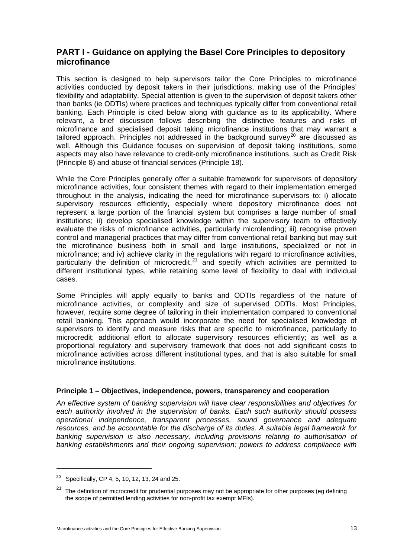## <span id="page-18-0"></span>**PART I - Guidance on applying the Basel Core Principles to depository microfinance**

This section is designed to help supervisors tailor the Core Principles to microfinance activities conducted by deposit takers in their jurisdictions, making use of the Principles' flexibility and adaptability. Special attention is given to the supervision of deposit takers other than banks (ie ODTIs) where practices and techniques typically differ from conventional retail banking. Each Principle is cited below along with guidance as to its applicability. Where relevant, a brief discussion follows describing the distinctive features and risks of microfinance and specialised deposit taking microfinance institutions that may warrant a tailored approach. Principles not addressed in the background survey<sup>[20](#page-18-1)</sup> are discussed as well. Although this Guidance focuses on supervision of deposit taking institutions, some aspects may also have relevance to credit-only microfinance institutions, such as Credit Risk (Principle 8) and abuse of financial services (Principle 18).

While the Core Principles generally offer a suitable framework for supervisors of depository microfinance activities, four consistent themes with regard to their implementation emerged throughout in the analysis, indicating the need for microfinance supervisors to: i) allocate supervisory resources efficiently, especially where depository microfinance does not represent a large portion of the financial system but comprises a large number of small institutions; ii) develop specialised knowledge within the supervisory team to effectively evaluate the risks of microfinance activities, particularly microlending; iii) recognise proven control and managerial practices that may differ from conventional retail banking but may suit the microfinance business both in small and large institutions, specialized or not in microfinance; and iv) achieve clarity in the regulations with regard to microfinance activities, particularly the definition of microcredit, $^{21}$  $^{21}$  $^{21}$  and specify which activities are permitted to different institutional types, while retaining some level of flexibility to deal with individual cases.

Some Principles will apply equally to banks and ODTIs regardless of the nature of microfinance activities, or complexity and size of supervised ODTIs. Most Principles, however, require some degree of tailoring in their implementation compared to conventional retail banking. This approach would incorporate the need for specialised knowledge of supervisors to identify and measure risks that are specific to microfinance, particularly to microcredit; additional effort to allocate supervisory resources efficiently; as well as a proportional regulatory and supervisory framework that does not add significant costs to microfinance activities across different institutional types, and that is also suitable for small microfinance institutions.

## **Principle 1 – Objectives, independence, powers, transparency and cooperation**

*An effective system of banking supervision will have clear responsibilities and objectives for each authority involved in the supervision of banks. Each such authority should possess operational independence, transparent processes, sound governance and adequate resources, and be accountable for the discharge of its duties. A suitable legal framework for banking supervision is also necessary, including provisions relating to authorisation of banking establishments and their ongoing supervision; powers to address compliance with* 

 $\overline{a}$ 

<span id="page-18-1"></span><sup>&</sup>lt;sup>20</sup> Specifically, CP 4, 5, 10, 12, 13, 24 and 25.

<span id="page-18-2"></span> $21$  The definition of microcredit for prudential purposes may not be appropriate for other purposes (eg defining the scope of permitted lending activities for non-profit tax exempt MFIs).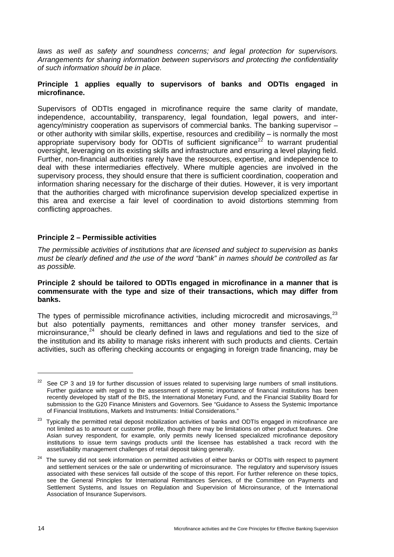laws as well as safety and soundness concerns; and legal protection for supervisors. *Arrangements for sharing information between supervisors and protecting the confidentiality of such information should be in place.* 

## **Principle 1 applies equally to supervisors of banks and ODTIs engaged in microfinance.**

Supervisors of ODTIs engaged in microfinance require the same clarity of mandate, independence, accountability, transparency, legal foundation, legal powers, and interagency/ministry cooperation as supervisors of commercial banks. The banking supervisor – or other authority with similar skills, expertise, resources and credibility – is normally the most appropriate supervisory body for ODTIs of sufficient significance<sup>[22](#page-19-0)</sup> to warrant prudential oversight, leveraging on its existing skills and infrastructure and ensuring a level playing field. Further, non-financial authorities rarely have the resources, expertise, and independence to deal with these intermediaries effectively. Where multiple agencies are involved in the supervisory process, they should ensure that there is sufficient coordination, cooperation and information sharing necessary for the discharge of their duties. However, it is very important that the authorities charged with microfinance supervision develop specialized expertise in this area and exercise a fair level of coordination to avoid distortions stemming from conflicting approaches.

## **Principle 2 – Permissible activities**

*The permissible activities of institutions that are licensed and subject to supervision as banks must be clearly defined and the use of the word "bank" in names should be controlled as far as possible.* 

#### **Principle 2 should be tailored to ODTIs engaged in microfinance in a manner that is commensurate with the type and size of their transactions, which may differ from banks.**

The types of permissible microfinance activities, including microcredit and microsavings, $^{23}$  $^{23}$  $^{23}$ but also potentially payments, remittances and other money transfer services, and microinsurance, $24$  should be clearly defined in laws and regulations and tied to the size of the institution and its ability to manage risks inherent with such products and clients. Certain activities, such as offering checking accounts or engaging in foreign trade financing, may be

<span id="page-19-0"></span><sup>&</sup>lt;sup>22</sup> See CP 3 and 19 for further discussion of issues related to supervising large numbers of small institutions. Further guidance with regard to the assessment of systemic importance of financial institutions has been recently developed by staff of the BIS, the International Monetary Fund, and the Financial Stability Board for submission to the G20 Finance Ministers and Governors. See "Guidance to Assess the Systemic Importance of Financial Institutions, Markets and Instruments: Initial Considerations."

<span id="page-19-1"></span><sup>&</sup>lt;sup>23</sup> Typically the permitted retail deposit mobilization activities of banks and ODTIs engaged in microfinance are not limited as to amount or customer profile, though there may be limitations on other product features. One Asian survey respondent, for example, only permits newly licensed specialized microfinance depository institutions to issue term savings products until the licensee has established a track record with the asset/liability management challenges of retail deposit taking generally.

<span id="page-19-2"></span>The survey did not seek information on permitted activities of either banks or ODTIs with respect to payment and settlement services or the sale or underwriting of microinsurance. The regulatory and supervisory issues associated with these services fall outside of the scope of this report. For further reference on these topics, see the General Principles for International Remittances Services, of the Committee on Payments and Settlement Systems, and Issues on Regulation and Supervision of Microinsurance, of the International Association of Insurance Supervisors.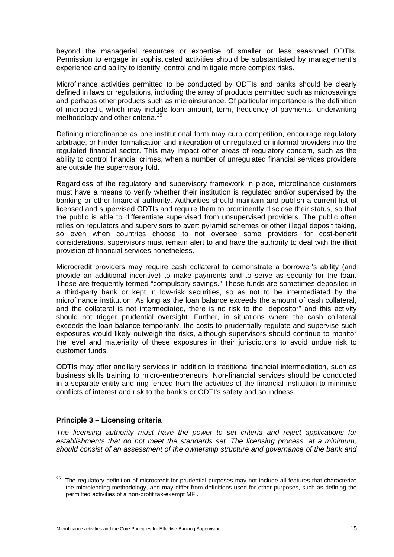beyond the managerial resources or expertise of smaller or less seasoned ODTIs. Permission to engage in sophisticated activities should be substantiated by management's experience and ability to identify, control and mitigate more complex risks.

Microfinance activities permitted to be conducted by ODTIs and banks should be clearly defined in laws or regulations, including the array of products permitted such as microsavings and perhaps other products such as microinsurance. Of particular importance is the definition of microcredit, which may include loan amount, term, frequency of payments, underwriting methodology and other criteria.<sup>[25](#page-20-0)</sup>

Defining microfinance as one institutional form may curb competition, encourage regulatory arbitrage, or hinder formalisation and integration of unregulated or informal providers into the regulated financial sector. This may impact other areas of regulatory concern, such as the ability to control financial crimes, when a number of unregulated financial services providers are outside the supervisory fold.

Regardless of the regulatory and supervisory framework in place, microfinance customers must have a means to verify whether their institution is regulated and/or supervised by the banking or other financial authority. Authorities should maintain and publish a current list of licensed and supervised ODTIs and require them to prominently disclose their status, so that the public is able to differentiate supervised from unsupervised providers. The public often relies on regulators and supervisors to avert pyramid schemes or other illegal deposit taking, so even when countries choose to not oversee some providers for cost-benefit considerations, supervisors must remain alert to and have the authority to deal with the illicit provision of financial services nonetheless.

Microcredit providers may require cash collateral to demonstrate a borrower's ability (and provide an additional incentive) to make payments and to serve as security for the loan. These are frequently termed "compulsory savings." These funds are sometimes deposited in a third-party bank or kept in low-risk securities, so as not to be intermediated by the microfinance institution. As long as the loan balance exceeds the amount of cash collateral, and the collateral is not intermediated, there is no risk to the "depositor" and this activity should not trigger prudential oversight. Further, in situations where the cash collateral exceeds the loan balance temporarily, the costs to prudentially regulate and supervise such exposures would likely outweigh the risks, although supervisors should continue to monitor the level and materiality of these exposures in their jurisdictions to avoid undue risk to customer funds.

ODTIs may offer ancillary services in addition to traditional financial intermediation, such as business skills training to micro-entrepreneurs. Non-financial services should be conducted in a separate entity and ring-fenced from the activities of the financial institution to minimise conflicts of interest and risk to the bank's or ODTI's safety and soundness.

## **Principle 3 – Licensing criteria**

*The licensing authority must have the power to set criteria and reject applications for establishments that do not meet the standards set. The licensing process, at a minimum, should consist of an assessment of the ownership structure and governance of the bank and* 

<span id="page-20-0"></span> $25$  The regulatory definition of microcredit for prudential purposes may not include all features that characterize the microlending methodology, and may differ from definitions used for other purposes, such as defining the permitted activities of a non-profit tax-exempt MFI.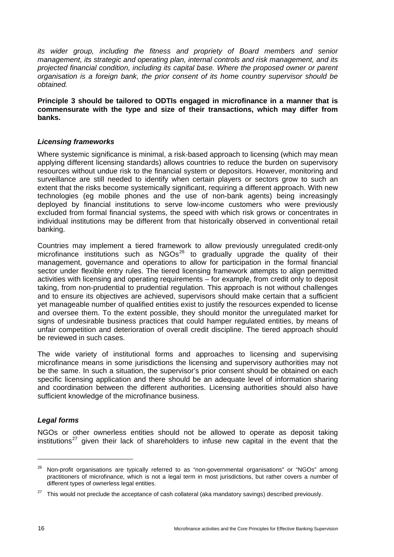*its wider group, including the fitness and propriety of Board members and senior management, its strategic and operating plan, internal controls and risk management, and its projected financial condition, including its capital base. Where the proposed owner or parent organisation is a foreign bank, the prior consent of its home country supervisor should be obtained.* 

**Principle 3 should be tailored to ODTIs engaged in microfinance in a manner that is commensurate with the type and size of their transactions, which may differ from banks.** 

## *Licensing frameworks*

Where systemic significance is minimal, a risk-based approach to licensing (which may mean applying different licensing standards) allows countries to reduce the burden on supervisory resources without undue risk to the financial system or depositors. However, monitoring and surveillance are still needed to identify when certain players or sectors grow to such an extent that the risks become systemically significant, requiring a different approach. With new technologies (eg mobile phones and the use of non-bank agents) being increasingly deployed by financial institutions to serve low-income customers who were previously excluded from formal financial systems, the speed with which risk grows or concentrates in individual institutions may be different from that historically observed in conventional retail banking.

Countries may implement a tiered framework to allow previously unregulated credit-only microfinance institutions such as  $NGOs<sup>26</sup>$  $NGOs<sup>26</sup>$  $NGOs<sup>26</sup>$  to gradually upgrade the quality of their management, governance and operations to allow for participation in the formal financial sector under flexible entry rules. The tiered licensing framework attempts to align permitted activities with licensing and operating requirements – for example, from credit only to deposit taking, from non-prudential to prudential regulation. This approach is not without challenges and to ensure its objectives are achieved, supervisors should make certain that a sufficient yet manageable number of qualified entities exist to justify the resources expended to license and oversee them. To the extent possible, they should monitor the unregulated market for signs of undesirable business practices that could hamper regulated entities, by means of unfair competition and deterioration of overall credit discipline. The tiered approach should be reviewed in such cases.

The wide variety of institutional forms and approaches to licensing and supervising microfinance means in some jurisdictions the licensing and supervisory authorities may not be the same. In such a situation, the supervisor's prior consent should be obtained on each specific licensing application and there should be an adequate level of information sharing and coordination between the different authorities. Licensing authorities should also have sufficient knowledge of the microfinance business.

## *Legal forms*

NGOs or other ownerless entities should not be allowed to operate as deposit taking institutions<sup>[27](#page-21-1)</sup> given their lack of shareholders to infuse new capital in the event that the

<span id="page-21-0"></span><sup>&</sup>lt;sup>26</sup> Non-profit organisations are typically referred to as "non-governmental organisations" or "NGOs" among practitioners of microfinance, which is not a legal term in most jurisdictions, but rather covers a number of different types of ownerless legal entities.

<span id="page-21-1"></span><sup>&</sup>lt;sup>27</sup> This would not preclude the acceptance of cash collateral (aka mandatory savings) described previously.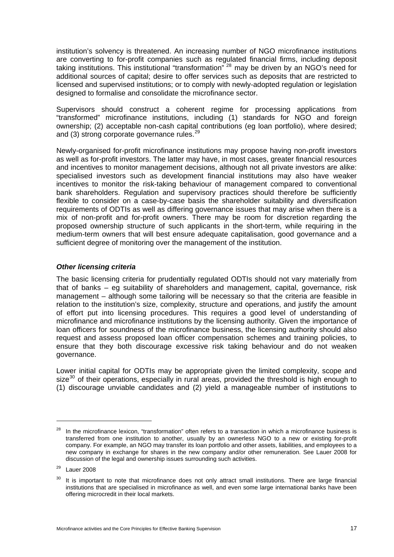institution's solvency is threatened. An increasing number of NGO microfinance institutions are converting to for-profit companies such as regulated financial firms, including deposit taking institutions. This institutional "transformation"<sup>[28](#page-22-0)</sup> may be driven by an NGO's need for additional sources of capital; desire to offer services such as deposits that are restricted to licensed and supervised institutions; or to comply with newly-adopted regulation or legislation designed to formalise and consolidate the microfinance sector.

Supervisors should construct a coherent regime for processing applications from "transformed" microfinance institutions, including (1) standards for NGO and foreign ownership; (2) acceptable non-cash capital contributions (eg loan portfolio), where desired; and (3) strong corporate governance rules.<sup>[29](#page-22-1)</sup>

Newly-organised for-profit microfinance institutions may propose having non-profit investors as well as for-profit investors. The latter may have, in most cases, greater financial resources and incentives to monitor management decisions, although not all private investors are alike: specialised investors such as development financial institutions may also have weaker incentives to monitor the risk-taking behaviour of management compared to conventional bank shareholders. Regulation and supervisory practices should therefore be sufficiently flexible to consider on a case-by-case basis the shareholder suitability and diversification requirements of ODTIs as well as differing governance issues that may arise when there is a mix of non-profit and for-profit owners. There may be room for discretion regarding the proposed ownership structure of such applicants in the short-term, while requiring in the medium-term owners that will best ensure adequate capitalisation, good governance and a sufficient degree of monitoring over the management of the institution.

## *Other licensing criteria*

The basic licensing criteria for prudentially regulated ODTIs should not vary materially from that of banks – eg suitability of shareholders and management, capital, governance, risk management – although some tailoring will be necessary so that the criteria are feasible in relation to the institution's size, complexity, structure and operations, and justify the amount of effort put into licensing procedures. This requires a good level of understanding of microfinance and microfinance institutions by the licensing authority. Given the importance of loan officers for soundness of the microfinance business, the licensing authority should also request and assess proposed loan officer compensation schemes and training policies, to ensure that they both discourage excessive risk taking behaviour and do not weaken governance.

Lower initial capital for ODTIs may be appropriate given the limited complexity, scope and size $30$  of their operations, especially in rural areas, provided the threshold is high enough to (1) discourage unviable candidates and (2) yield a manageable number of institutions to

<span id="page-22-0"></span> $28$  In the microfinance lexicon, "transformation" often refers to a transaction in which a microfinance business is transferred from one institution to another, usually by an ownerless NGO to a new or existing for-profit company. For example, an NGO may transfer its loan portfolio and other assets, liabilities, and employees to a new company in exchange for shares in the new company and/or other remuneration. See Lauer 2008 for discussion of the legal and ownership issues surrounding such activities.

<span id="page-22-1"></span><sup>29</sup> Lauer 2008

<span id="page-22-2"></span> $30$  It is important to note that microfinance does not only attract small institutions. There are large financial institutions that are specialised in microfinance as well, and even some large international banks have been offering microcredit in their local markets.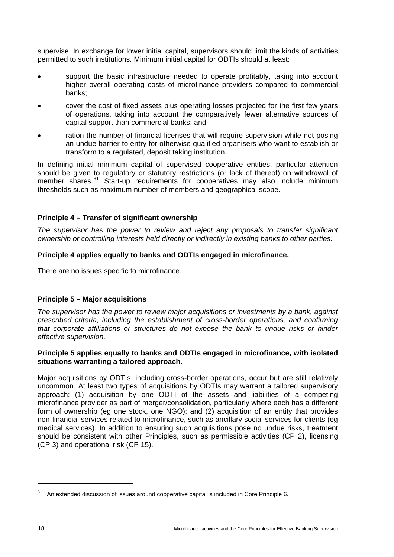supervise. In exchange for lower initial capital, supervisors should limit the kinds of activities permitted to such institutions. Minimum initial capital for ODTIs should at least:

- support the basic infrastructure needed to operate profitably, taking into account higher overall operating costs of microfinance providers compared to commercial banks;
- cover the cost of fixed assets plus operating losses projected for the first few years of operations, taking into account the comparatively fewer alternative sources of capital support than commercial banks; and
- ration the number of financial licenses that will require supervision while not posing an undue barrier to entry for otherwise qualified organisers who want to establish or transform to a regulated, deposit taking institution.

In defining initial minimum capital of supervised cooperative entities, particular attention should be given to regulatory or statutory restrictions (or lack of thereof) on withdrawal of member shares.<sup>[31](#page-23-0)</sup> Start-up requirements for cooperatives may also include minimum thresholds such as maximum number of members and geographical scope.

## **Principle 4 – Transfer of significant ownership**

*The supervisor has the power to review and reject any proposals to transfer significant ownership or controlling interests held directly or indirectly in existing banks to other parties.* 

## **Principle 4 applies equally to banks and ODTIs engaged in microfinance.**

There are no issues specific to microfinance.

## **Principle 5 – Major acquisitions**

*The supervisor has the power to review major acquisitions or investments by a bank, against prescribed criteria, including the establishment of cross-border operations, and confirming that corporate affiliations or structures do not expose the bank to undue risks or hinder effective supervision.* 

## **Principle 5 applies equally to banks and ODTIs engaged in microfinance, with isolated situations warranting a tailored approach.**

Major acquisitions by ODTIs, including cross-border operations, occur but are still relatively uncommon. At least two types of acquisitions by ODTIs may warrant a tailored supervisory approach: (1) acquisition by one ODTI of the assets and liabilities of a competing microfinance provider as part of merger/consolidation, particularly where each has a different form of ownership (eg one stock, one NGO); and (2) acquisition of an entity that provides non-financial services related to microfinance, such as ancillary social services for clients (eg medical services). In addition to ensuring such acquisitions pose no undue risks, treatment should be consistent with other Principles, such as permissible activities (CP 2), licensing (CP 3) and operational risk (CP 15).

<span id="page-23-0"></span> $31$  An extended discussion of issues around cooperative capital is included in Core Principle 6.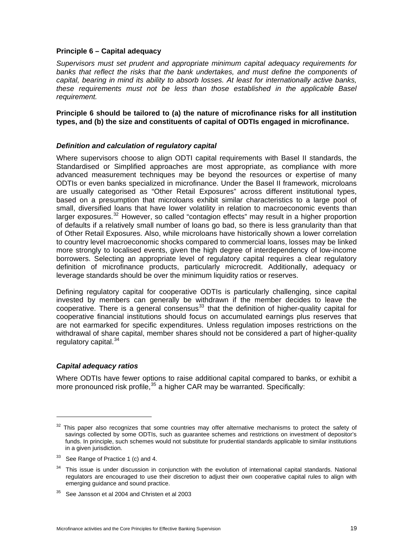#### **Principle 6 – Capital adequacy**

*Supervisors must set prudent and appropriate minimum capital adequacy requirements for*  banks that reflect the risks that the bank undertakes, and must define the components of *capital, bearing in mind its ability to absorb losses. At least for internationally active banks, these requirements must not be less than those established in the applicable Basel requirement.* 

**Principle 6 should be tailored to (a) the nature of microfinance risks for all institution types, and (b) the size and constituents of capital of ODTIs engaged in microfinance.** 

## *Definition and calculation of regulatory capital*

Where supervisors choose to align ODTI capital requirements with Basel II standards, the Standardised or Simplified approaches are most appropriate, as compliance with more advanced measurement techniques may be beyond the resources or expertise of many ODTIs or even banks specialized in microfinance. Under the Basel II framework, microloans are usually categorised as "Other Retail Exposures" across different institutional types, based on a presumption that microloans exhibit similar characteristics to a large pool of small, diversified loans that have lower volatility in relation to macroeconomic events than larger exposures.<sup>[32](#page-24-0)</sup> However, so called "contagion effects" may result in a higher proportion of defaults if a relatively small number of loans go bad, so there is less granularity than that of Other Retail Exposures. Also, while microloans have historically shown a lower correlation to country level macroeconomic shocks compared to commercial loans, losses may be linked more strongly to localised events, given the high degree of interdependency of low-income borrowers. Selecting an appropriate level of regulatory capital requires a clear regulatory definition of microfinance products, particularly microcredit. Additionally, adequacy or leverage standards should be over the minimum liquidity ratios or reserves.

Defining regulatory capital for cooperative ODTIs is particularly challenging, since capital invested by members can generally be withdrawn if the member decides to leave the cooperative. There is a general consensus<sup>[33](#page-24-1)</sup> that the definition of higher-quality capital for cooperative financial institutions should focus on accumulated earnings plus reserves that are not earmarked for specific expenditures. Unless regulation imposes restrictions on the withdrawal of share capital, member shares should not be considered a part of higher-quality regulatory capital.<sup>[34](#page-24-2)</sup>

## *Capital adequacy ratios*

Where ODTIs have fewer options to raise additional capital compared to banks, or exhibit a more pronounced risk profile,<sup>[35](#page-24-3)</sup> a higher CAR may be warranted. Specifically:

<span id="page-24-0"></span> $32$  This paper also recognizes that some countries may offer alternative mechanisms to protect the safety of savings collected by some ODTIs, such as guarantee schemes and restrictions on investment of depositor's funds. In principle, such schemes would not substitute for prudential standards applicable to similar institutions in a given jurisdiction.

<span id="page-24-1"></span><sup>&</sup>lt;sup>33</sup> See Range of Practice 1 (c) and 4.

<span id="page-24-2"></span> $34$  This issue is under discussion in conjunction with the evolution of international capital standards. National regulators are encouraged to use their discretion to adjust their own cooperative capital rules to align with emerging guidance and sound practice.

<span id="page-24-3"></span> $35$  See Jansson et al 2004 and Christen et al 2003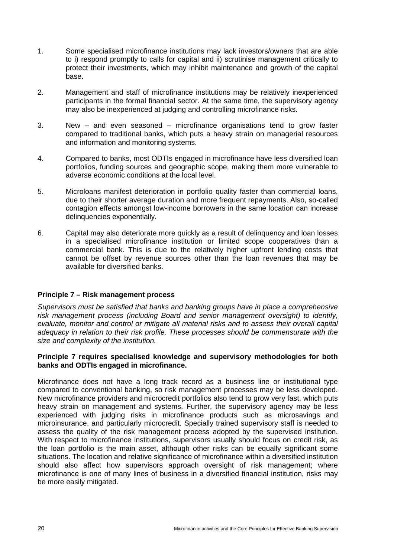- 1. Some specialised microfinance institutions may lack investors/owners that are able to i) respond promptly to calls for capital and ii) scrutinise management critically to protect their investments, which may inhibit maintenance and growth of the capital base.
- 2. Management and staff of microfinance institutions may be relatively inexperienced participants in the formal financial sector. At the same time, the supervisory agency may also be inexperienced at judging and controlling microfinance risks.
- 3. New and even seasoned microfinance organisations tend to grow faster compared to traditional banks, which puts a heavy strain on managerial resources and information and monitoring systems.
- 4. Compared to banks, most ODTIs engaged in microfinance have less diversified loan portfolios, funding sources and geographic scope, making them more vulnerable to adverse economic conditions at the local level.
- 5. Microloans manifest deterioration in portfolio quality faster than commercial loans, due to their shorter average duration and more frequent repayments. Also, so-called contagion effects amongst low-income borrowers in the same location can increase delinquencies exponentially.
- 6. Capital may also deteriorate more quickly as a result of delinquency and loan losses in a specialised microfinance institution or limited scope cooperatives than a commercial bank. This is due to the relatively higher upfront lending costs that cannot be offset by revenue sources other than the loan revenues that may be available for diversified banks.

## **Principle 7 – Risk management process**

*Supervisors must be satisfied that banks and banking groups have in place a comprehensive risk management process (including Board and senior management oversight) to identify, evaluate, monitor and control or mitigate all material risks and to assess their overall capital adequacy in relation to their risk profile. These processes should be commensurate with the size and complexity of the institution.* 

## **Principle 7 requires specialised knowledge and supervisory methodologies for both banks and ODTIs engaged in microfinance.**

Microfinance does not have a long track record as a business line or institutional type compared to conventional banking, so risk management processes may be less developed. New microfinance providers and microcredit portfolios also tend to grow very fast, which puts heavy strain on management and systems. Further, the supervisory agency may be less experienced with judging risks in microfinance products such as microsavings and microinsurance, and particularly microcredit. Specially trained supervisory staff is needed to assess the quality of the risk management process adopted by the supervised institution. With respect to microfinance institutions, supervisors usually should focus on credit risk, as the loan portfolio is the main asset, although other risks can be equally significant some situations. The location and relative significance of microfinance within a diversified institution should also affect how supervisors approach oversight of risk management; where microfinance is one of many lines of business in a diversified financial institution, risks may be more easily mitigated.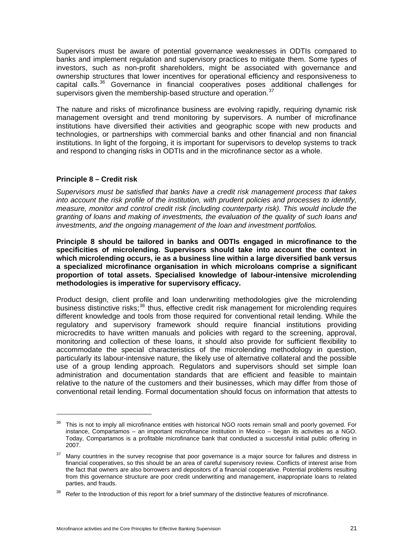Supervisors must be aware of potential governance weaknesses in ODTIs compared to banks and implement regulation and supervisory practices to mitigate them. Some types of investors, such as non-profit shareholders, might be associated with governance and ownership structures that lower incentives for operational efficiency and responsiveness to capital calls.<sup>[36](#page-26-0)</sup> Governance in financial cooperatives poses additional challenges for supervisors given the membership-based structure and operation.  $37$ 

The nature and risks of microfinance business are evolving rapidly, requiring dynamic risk management oversight and trend monitoring by supervisors. A number of microfinance institutions have diversified their activities and geographic scope with new products and technologies, or partnerships with commercial banks and other financial and non financial institutions. In light of the forgoing, it is important for supervisors to develop systems to track and respond to changing risks in ODTIs and in the microfinance sector as a whole.

## **Principle 8 – Credit risk**

 $\overline{a}$ 

*Supervisors must be satisfied that banks have a credit risk management process that takes into account the risk profile of the institution, with prudent policies and processes to identify, measure, monitor and control credit risk (including counterparty risk). This would include the granting of loans and making of investments, the evaluation of the quality of such loans and investments, and the ongoing management of the loan and investment portfolios.* 

**Principle 8 should be tailored in banks and ODTIs engaged in microfinance to the specificities of microlending. Supervisors should take into account the context in which microlending occurs, ie as a business line within a large diversified bank versus a specialized microfinance organisation in which microloans comprise a significant proportion of total assets. Specialised knowledge of labour-intensive microlending methodologies is imperative for supervisory efficacy.** 

Product design, client profile and loan underwriting methodologies give the microlending business distinctive risks;<sup>[38](#page-26-2)</sup> thus, effective credit risk management for microlending requires different knowledge and tools from those required for conventional retail lending. While the regulatory and supervisory framework should require financial institutions providing microcredits to have written manuals and policies with regard to the screening, approval, monitoring and collection of these loans, it should also provide for sufficient flexibility to accommodate the special characteristics of the microlending methodology in question, particularly its labour-intensive nature, the likely use of alternative collateral and the possible use of a group lending approach. Regulators and supervisors should set simple loan administration and documentation standards that are efficient and feasible to maintain relative to the nature of the customers and their businesses, which may differ from those of conventional retail lending. Formal documentation should focus on information that attests to

<span id="page-26-0"></span><sup>&</sup>lt;sup>36</sup> This is not to imply all microfinance entities with historical NGO roots remain small and poorly governed. For instance, Compartamos – an important microfinance institution in Mexico – began its activities as a NGO. Today, Compartamos is a profitable microfinance bank that conducted a successful initial public offering in 2007.

<span id="page-26-1"></span><sup>&</sup>lt;sup>37</sup> Many countries in the survey recognise that poor governance is a major source for failures and distress in financial cooperatives, so this should be an area of careful supervisory review. Conflicts of interest arise from the fact that owners are also borrowers and depositors of a financial cooperative. Potential problems resulting from this governance structure are poor credit underwriting and management, inappropriate loans to related parties, and frauds.

<span id="page-26-2"></span><sup>&</sup>lt;sup>38</sup> Refer to the Introduction of this report for a brief summary of the distinctive features of microfinance.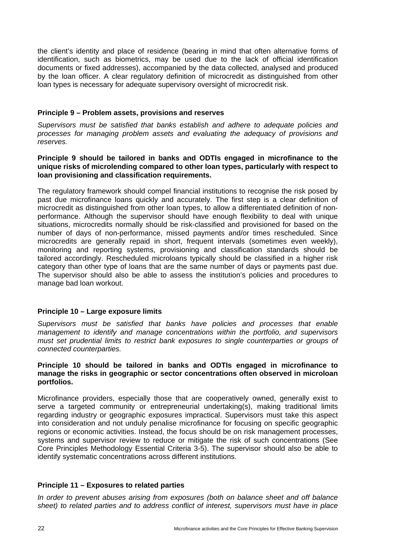the client's identity and place of residence (bearing in mind that often alternative forms of identification, such as biometrics, may be used due to the lack of official identification documents or fixed addresses), accompanied by the data collected, analysed and produced by the loan officer. A clear regulatory definition of microcredit as distinguished from other loan types is necessary for adequate supervisory oversight of microcredit risk.

## **Principle 9 – Problem assets, provisions and reserves**

*Supervisors must be satisfied that banks establish and adhere to adequate policies and processes for managing problem assets and evaluating the adequacy of provisions and reserves.* 

#### **Principle 9 should be tailored in banks and ODTIs engaged in microfinance to the unique risks of microlending compared to other loan types, particularly with respect to loan provisioning and classification requirements.**

The regulatory framework should compel financial institutions to recognise the risk posed by past due microfinance loans quickly and accurately. The first step is a clear definition of microcredit as distinguished from other loan types, to allow a differentiated definition of nonperformance. Although the supervisor should have enough flexibility to deal with unique situations, microcredits normally should be risk-classified and provisioned for based on the number of days of non-performance, missed payments and/or times rescheduled. Since microcredits are generally repaid in short, frequent intervals (sometimes even weekly), monitoring and reporting systems, provisioning and classification standards should be tailored accordingly. Rescheduled microloans typically should be classified in a higher risk category than other type of loans that are the same number of days or payments past due. The supervisor should also be able to assess the institution's policies and procedures to manage bad loan workout.

## **Principle 10 – Large exposure limits**

*Supervisors must be satisfied that banks have policies and processes that enable management to identify and manage concentrations within the portfolio, and supervisors must set prudential limits to restrict bank exposures to single counterparties or groups of connected counterparties.* 

#### **Principle 10 should be tailored in banks and ODTIs engaged in microfinance to manage the risks in geographic or sector concentrations often observed in microloan portfolios.**

Microfinance providers, especially those that are cooperatively owned, generally exist to serve a targeted community or entrepreneurial undertaking(s), making traditional limits regarding industry or geographic exposures impractical. Supervisors must take this aspect into consideration and not unduly penalise microfinance for focusing on specific geographic regions or economic activities. Instead, the focus should be on risk management processes, systems and supervisor review to reduce or mitigate the risk of such concentrations (See Core Principles Methodology Essential Criteria 3-5). The supervisor should also be able to identify systematic concentrations across different institutions.

## **Principle 11 – Exposures to related parties**

*In order to prevent abuses arising from exposures (both on balance sheet and off balance sheet) to related parties and to address conflict of interest, supervisors must have in place*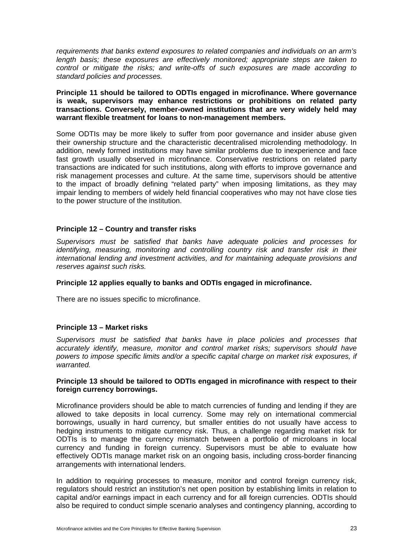*requirements that banks extend exposures to related companies and individuals on an arm's*  length basis; these exposures are effectively monitored; appropriate steps are taken to *control or mitigate the risks; and write-offs of such exposures are made according to standard policies and processes.* 

**Principle 11 should be tailored to ODTIs engaged in microfinance. Where governance is weak, supervisors may enhance restrictions or prohibitions on related party transactions. Conversely, member-owned institutions that are very widely held may warrant flexible treatment for loans to non-management members.** 

Some ODTIs may be more likely to suffer from poor governance and insider abuse given their ownership structure and the characteristic decentralised microlending methodology. In addition, newly formed institutions may have similar problems due to inexperience and face fast growth usually observed in microfinance. Conservative restrictions on related party transactions are indicated for such institutions, along with efforts to improve governance and risk management processes and culture. At the same time, supervisors should be attentive to the impact of broadly defining "related party" when imposing limitations, as they may impair lending to members of widely held financial cooperatives who may not have close ties to the power structure of the institution.

## **Principle 12 – Country and transfer risks**

*Supervisors must be satisfied that banks have adequate policies and processes for identifying, measuring, monitoring and controlling country risk and transfer risk in their international lending and investment activities, and for maintaining adequate provisions and reserves against such risks.* 

#### **Principle 12 applies equally to banks and ODTIs engaged in microfinance.**

There are no issues specific to microfinance.

## **Principle 13 – Market risks**

*Supervisors must be satisfied that banks have in place policies and processes that accurately identify, measure, monitor and control market risks; supervisors should have powers to impose specific limits and/or a specific capital charge on market risk exposures, if warranted.* 

## **Principle 13 should be tailored to ODTIs engaged in microfinance with respect to their foreign currency borrowings.**

Microfinance providers should be able to match currencies of funding and lending if they are allowed to take deposits in local currency. Some may rely on international commercial borrowings, usually in hard currency, but smaller entities do not usually have access to hedging instruments to mitigate currency risk. Thus, a challenge regarding market risk for ODTIs is to manage the currency mismatch between a portfolio of microloans in local currency and funding in foreign currency. Supervisors must be able to evaluate how effectively ODTIs manage market risk on an ongoing basis, including cross-border financing arrangements with international lenders.

In addition to requiring processes to measure, monitor and control foreign currency risk, regulators should restrict an institution's net open position by establishing limits in relation to capital and/or earnings impact in each currency and for all foreign currencies. ODTIs should also be required to conduct simple scenario analyses and contingency planning, according to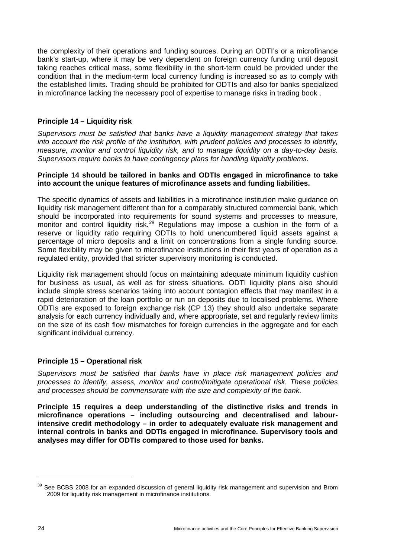the complexity of their operations and funding sources. During an ODTI's or a microfinance bank's start-up, where it may be very dependent on foreign currency funding until deposit taking reaches critical mass, some flexibility in the short-term could be provided under the condition that in the medium-term local currency funding is increased so as to comply with the established limits. Trading should be prohibited for ODTIs and also for banks specialized in microfinance lacking the necessary pool of expertise to manage risks in trading book .

## **Principle 14 – Liquidity risk**

*Supervisors must be satisfied that banks have a liquidity management strategy that takes into account the risk profile of the institution, with prudent policies and processes to identify, measure, monitor and control liquidity risk, and to manage liquidity on a day-to-day basis. Supervisors require banks to have contingency plans for handling liquidity problems.* 

## **Principle 14 should be tailored in banks and ODTIs engaged in microfinance to take into account the unique features of microfinance assets and funding liabilities.**

The specific dynamics of assets and liabilities in a microfinance institution make guidance on liquidity risk management different than for a comparably structured commercial bank, which should be incorporated into requirements for sound systems and processes to measure, monitor and control liquidity risk.*[39](#page-29-0)* Regulations may impose a cushion in the form of a reserve or liquidity ratio requiring ODTIs to hold unencumbered liquid assets against a percentage of micro deposits and a limit on concentrations from a single funding source. Some flexibility may be given to microfinance institutions in their first years of operation as a regulated entity, provided that stricter supervisory monitoring is conducted.

Liquidity risk management should focus on maintaining adequate minimum liquidity cushion for business as usual, as well as for stress situations. ODTI liquidity plans also should include simple stress scenarios taking into account contagion effects that may manifest in a rapid deterioration of the loan portfolio or run on deposits due to localised problems. Where ODTIs are exposed to foreign exchange risk (CP 13) they should also undertake separate analysis for each currency individually and, where appropriate, set and regularly review limits on the size of its cash flow mismatches for foreign currencies in the aggregate and for each significant individual currency.

## **Principle 15 – Operational risk**

*Supervisors must be satisfied that banks have in place risk management policies and processes to identify, assess, monitor and control/mitigate operational risk. These policies and processes should be commensurate with the size and complexity of the bank.* 

**Principle 15 requires a deep understanding of the distinctive risks and trends in microfinance operations – including outsourcing and decentralised and labourintensive credit methodology – in order to adequately evaluate risk management and internal controls in banks and ODTIs engaged in microfinance. Supervisory tools and analyses may differ for ODTIs compared to those used for banks.** 

<span id="page-29-0"></span> $39$  See BCBS 2008 for an expanded discussion of general liquidity risk management and supervision and Brom 2009 for liquidity risk management in microfinance institutions.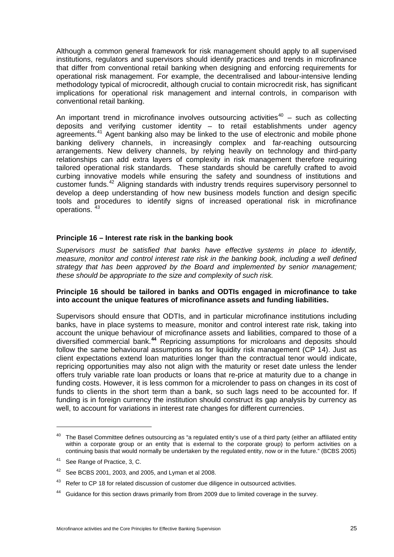Although a common general framework for risk management should apply to all supervised institutions, regulators and supervisors should identify practices and trends in microfinance that differ from conventional retail banking when designing and enforcing requirements for operational risk management. For example, the decentralised and labour-intensive lending methodology typical of microcredit, although crucial to contain microcredit risk, has significant implications for operational risk management and internal controls, in comparison with conventional retail banking.

An important trend in microfinance involves outsourcing activities<sup>[40](#page-30-0)</sup> – such as collecting deposits and verifying customer identity – to retail establishments under agency agreements.<sup>[41](#page-30-1)</sup> Agent banking also may be linked to the use of electronic and mobile phone banking delivery channels, in increasingly complex and far-reaching outsourcing arrangements. New delivery channels, by relying heavily on technology and third-party relationships can add extra layers of complexity in risk management therefore requiring tailored operational risk standards. These standards should be carefully crafted to avoid curbing innovative models while ensuring the safety and soundness of institutions and customer funds.<sup>[42](#page-30-2)</sup> Aligning standards with industry trends requires supervisory personnel to develop a deep understanding of how new business models function and design specific tools and procedures to identify signs of increased operational risk in microfinance operations.<sup>[43](#page-30-3)</sup>

## **Principle 16 – Interest rate risk in the banking book**

*Supervisors must be satisfied that banks have effective systems in place to identify, measure, monitor and control interest rate risk in the banking book, including a well defined strategy that has been approved by the Board and implemented by senior management; these should be appropriate to the size and complexity of such risk.* 

## **Principle 16 should be tailored in banks and ODTIs engaged in microfinance to take into account the unique features of microfinance assets and funding liabilities.**

Supervisors should ensure that ODTIs, and in particular microfinance institutions including banks, have in place systems to measure, monitor and control interest rate risk, taking into account the unique behaviour of microfinance assets and liabilities, compared to those of a diversified commercial bank.**[44](#page-30-4)** Repricing assumptions for microloans and deposits should follow the same behavioural assumptions as for liquidity risk management (CP 14). Just as client expectations extend loan maturities longer than the contractual tenor would indicate, repricing opportunities may also not align with the maturity or reset date unless the lender offers truly variable rate loan products or loans that re-price at maturity due to a change in funding costs. However, it is less common for a microlender to pass on changes in its cost of funds to clients in the short term than a bank, so such lags need to be accounted for. If funding is in foreign currency the institution should construct its gap analysis by currency as well, to account for variations in interest rate changes for different currencies.

 $\overline{a}$ 

<span id="page-30-0"></span> $40$  The Basel Committee defines outsourcing as "a regulated entity's use of a third party (either an affiliated entity within a corporate group or an entity that is external to the corporate group) to perform activities on a continuing basis that would normally be undertaken by the regulated entity, now or in the future." (BCBS 2005)

<span id="page-30-1"></span><sup>41</sup> See Range of Practice, 3, C.

<span id="page-30-2"></span><sup>&</sup>lt;sup>42</sup> See BCBS 2001, 2003, and 2005, and Lyman et al 2008.

<span id="page-30-3"></span><sup>&</sup>lt;sup>43</sup> Refer to CP 18 for related discussion of customer due diligence in outsourced activities.

<span id="page-30-4"></span><sup>&</sup>lt;sup>44</sup> Guidance for this section draws primarily from Brom 2009 due to limited coverage in the survey.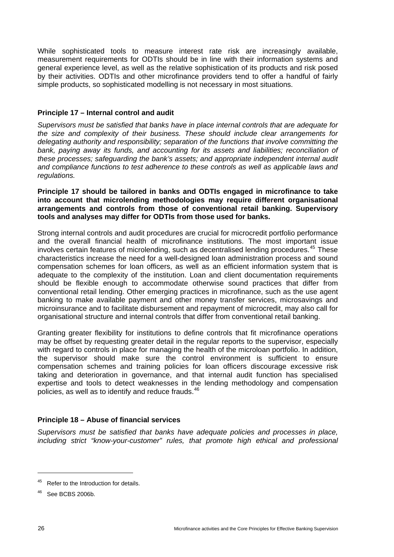While sophisticated tools to measure interest rate risk are increasingly available, measurement requirements for ODTIs should be in line with their information systems and general experience level, as well as the relative sophistication of its products and risk posed by their activities. ODTIs and other microfinance providers tend to offer a handful of fairly simple products, so sophisticated modelling is not necessary in most situations.

## **Principle 17 – Internal control and audit**

*Supervisors must be satisfied that banks have in place internal controls that are adequate for the size and complexity of their business. These should include clear arrangements for delegating authority and responsibility; separation of the functions that involve committing the bank, paying away its funds, and accounting for its assets and liabilities; reconciliation of these processes; safeguarding the bank's assets; and appropriate independent internal audit and compliance functions to test adherence to these controls as well as applicable laws and regulations.* 

#### **Principle 17 should be tailored in banks and ODTIs engaged in microfinance to take into account that microlending methodologies may require different organisational arrangements and controls from those of conventional retail banking. Supervisory tools and analyses may differ for ODTIs from those used for banks.**

Strong internal controls and audit procedures are crucial for microcredit portfolio performance and the overall financial health of microfinance institutions. The most important issue involves certain features of microlending, such as decentralised lending procedures.<sup>[45](#page-31-0)</sup> These characteristics increase the need for a well-designed loan administration process and sound compensation schemes for loan officers, as well as an efficient information system that is adequate to the complexity of the institution. Loan and client documentation requirements should be flexible enough to accommodate otherwise sound practices that differ from conventional retail lending. Other emerging practices in microfinance, such as the use agent banking to make available payment and other money transfer services, microsavings and microinsurance and to facilitate disbursement and repayment of microcredit, may also call for organisational structure and internal controls that differ from conventional retail banking.

Granting greater flexibility for institutions to define controls that fit microfinance operations may be offset by requesting greater detail in the regular reports to the supervisor, especially with regard to controls in place for managing the health of the microloan portfolio. In addition, the supervisor should make sure the control environment is sufficient to ensure compensation schemes and training policies for loan officers discourage excessive risk taking and deterioration in governance, and that internal audit function has specialised expertise and tools to detect weaknesses in the lending methodology and compensation policies, as well as to identify and reduce frauds.<sup>[46](#page-31-1)</sup>

## **Principle 18 – Abuse of financial services**

*Supervisors must be satisfied that banks have adequate policies and processes in place, including strict "know-your-customer" rules, that promote high ethical and professional* 

<span id="page-31-0"></span><sup>45</sup> Refer to the Introduction for details.

<span id="page-31-1"></span><sup>46</sup> See BCBS 2006b.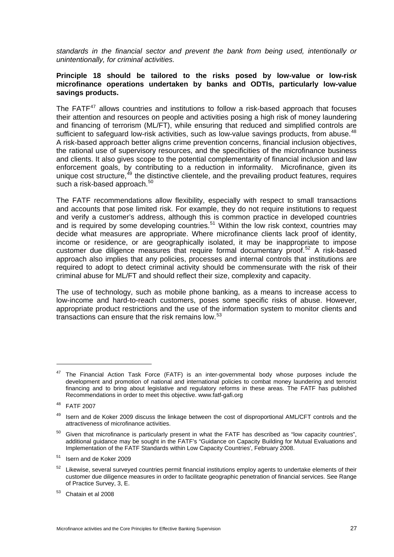*standards in the financial sector and prevent the bank from being used, intentionally or unintentionally, for criminal activities.* 

## **Principle 18 should be tailored to the risks posed by low-value or low-risk microfinance operations undertaken by banks and ODTIs, particularly low-value savings products.**

The FATF $47$  allows countries and institutions to follow a risk-based approach that focuses their attention and resources on people and activities posing a high risk of money laundering and financing of terrorism (ML/FT), while ensuring that reduced and simplified controls are sufficient to safeguard low-risk activities, such as low-value savings products, from abuse.<sup>[48](#page-32-1)</sup> A risk-based approach better aligns crime prevention concerns, financial inclusion objectives, the rational use of supervisory resources, and the specificities of the microfinance business and clients. It also gives scope to the potential complementarity of financial inclusion and law enforcement goals, by contributing to a reduction in informality. Microfinance, given its unique cost structure,<sup>[49](#page-32-2)</sup> the distinctive clientele, and the prevailing product features, requires such a risk-based approach.<sup>[50](#page-32-3)</sup>

The FATF recommendations allow flexibility, especially with respect to small transactions and accounts that pose limited risk. For example, they do not require institutions to request and verify a customer's address, although this is common practice in developed countries and is required by some developing countries.<sup>[51](#page-32-4)</sup> Within the low risk context, countries may decide what measures are appropriate. Where microfinance clients lack proof of identity, income or residence, or are geographically isolated, it may be inappropriate to impose customer due diligence measures that require formal documentary proof.<sup>[52](#page-32-5)</sup> A risk-based approach also implies that any policies, processes and internal controls that institutions are required to adopt to detect criminal activity should be commensurate with the risk of their criminal abuse for ML/FT and should reflect their size, complexity and capacity.

The use of technology, such as mobile phone banking, as a means to increase access to low-income and hard-to-reach customers, poses some specific risks of abuse. However, appropriate product restrictions and the use of the information system to monitor clients and transactions can ensure that the risk remains low.[53](#page-32-6)

 $\overline{a}$ 

<span id="page-32-0"></span> $47$  The Financial Action Task Force (FATF) is an inter-governmental body whose purposes include the development and promotion of national and international policies to combat money laundering and terrorist financing and to bring about legislative and regulatory reforms in these areas. The FATF has published Recommendations in order to meet this objective. [www.fatf-gafi.org](http://www.fatf-gafi.org/) 

<span id="page-32-1"></span><sup>48</sup> FATF 2007

<span id="page-32-2"></span><sup>&</sup>lt;sup>49</sup> Isern and de Koker 2009 discuss the linkage between the cost of disproportional AML/CFT controls and the attractiveness of microfinance activities.

<span id="page-32-3"></span> $50$  Given that microfinance is particularly present in what the FATF has described as "low capacity countries", additional guidance may be sought in the FATF's "Guidance on Capacity Building for Mutual Evaluations and Implementation of the FATF Standards within Low Capacity Countries', February 2008.

<span id="page-32-4"></span><sup>51</sup> Isern and de Koker 2009

<span id="page-32-5"></span> $52$  Likewise, several surveved countries permit financial institutions emplov agents to undertake elements of their customer due diligence measures in order to facilitate geographic penetration of financial services. See Range of Practice Survey, 3, E.

<span id="page-32-6"></span><sup>53</sup> Chatain et al 2008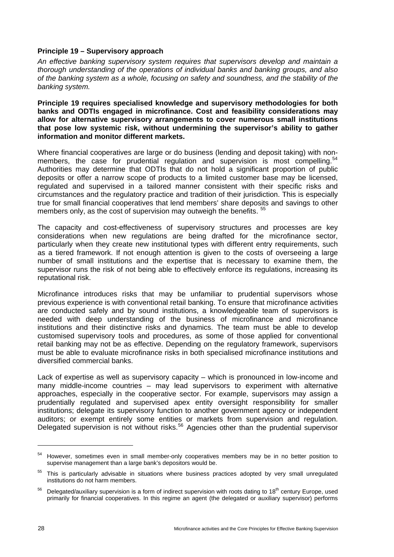## **Principle 19 – Supervisory approach**

*An effective banking supervisory system requires that supervisors develop and maintain a thorough understanding of the operations of individual banks and banking groups, and also of the banking system as a whole, focusing on safety and soundness, and the stability of the banking system.* 

**Principle 19 requires specialised knowledge and supervisory methodologies for both banks and ODTIs engaged in microfinance. Cost and feasibility considerations may allow for alternative supervisory arrangements to cover numerous small institutions that pose low systemic risk, without undermining the supervisor's ability to gather information and monitor different markets.** 

Where financial cooperatives are large or do business (lending and deposit taking) with non-members, the case for prudential regulation and supervision is most compelling.<sup>[54](#page-33-0)</sup> Authorities may determine that ODTIs that do not hold a significant proportion of public deposits or offer a narrow scope of products to a limited customer base may be licensed, regulated and supervised in a tailored manner consistent with their specific risks and circumstances and the regulatory practice and tradition of their jurisdiction. This is especially true for small financial cooperatives that lend members' share deposits and savings to other members only, as the cost of supervision may outweigh the benefits. <sup>[55](#page-33-1)</sup>

The capacity and cost-effectiveness of supervisory structures and processes are key considerations when new regulations are being drafted for the microfinance sector, particularly when they create new institutional types with different entry requirements, such as a tiered framework. If not enough attention is given to the costs of overseeing a large number of small institutions and the expertise that is necessary to examine them, the supervisor runs the risk of not being able to effectively enforce its regulations, increasing its reputational risk.

Microfinance introduces risks that may be unfamiliar to prudential supervisors whose previous experience is with conventional retail banking. To ensure that microfinance activities are conducted safely and by sound institutions, a knowledgeable team of supervisors is needed with deep understanding of the business of microfinance and microfinance institutions and their distinctive risks and dynamics. The team must be able to develop customised supervisory tools and procedures, as some of those applied for conventional retail banking may not be as effective. Depending on the regulatory framework, supervisors must be able to evaluate microfinance risks in both specialised microfinance institutions and diversified commercial banks.

Lack of expertise as well as supervisory capacity – which is pronounced in low-income and many middle-income countries – may lead supervisors to experiment with alternative approaches, especially in the cooperative sector. For example, supervisors may assign a prudentially regulated and supervised apex entity oversight responsibility for smaller institutions; delegate its supervisory function to another government agency or independent auditors; or exempt entirely some entities or markets from supervision and regulation. Delegated supervision is not without risks.<sup>[56](#page-33-2)</sup> Agencies other than the prudential supervisor

<span id="page-33-0"></span><sup>54</sup> However, sometimes even in small member-only cooperatives members may be in no better position to supervise management than a large bank's depositors would be.

<span id="page-33-1"></span><sup>&</sup>lt;sup>55</sup> This is particularly advisable in situations where business practices adopted by very small unregulated institutions do not harm members.

<span id="page-33-2"></span> $56$  Delegated/auxiliary supervision is a form of indirect supervision with roots dating to 18<sup>th</sup> century Europe, used primarily for financial cooperatives. In this regime an agent (the delegated or auxiliary supervisor) performs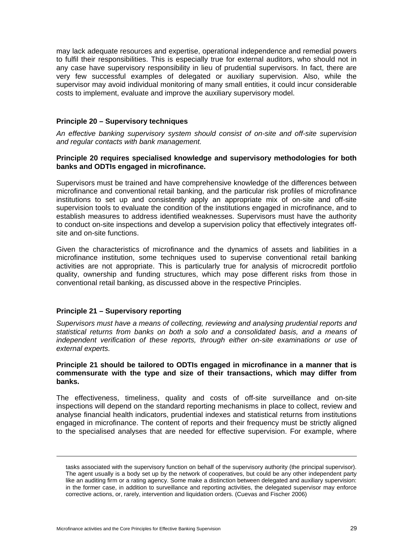may lack adequate resources and expertise, operational independence and remedial powers to fulfil their responsibilities. This is especially true for external auditors, who should not in any case have supervisory responsibility in lieu of prudential supervisors. In fact, there are very few successful examples of delegated or auxiliary supervision. Also, while the supervisor may avoid individual monitoring of many small entities, it could incur considerable costs to implement, evaluate and improve the auxiliary supervisory model.

## **Principle 20 – Supervisory techniques**

*An effective banking supervisory system should consist of on-site and off-site supervision and regular contacts with bank management.* 

## **Principle 20 requires specialised knowledge and supervisory methodologies for both banks and ODTIs engaged in microfinance.**

Supervisors must be trained and have comprehensive knowledge of the differences between microfinance and conventional retail banking, and the particular risk profiles of microfinance institutions to set up and consistently apply an appropriate mix of on-site and off-site supervision tools to evaluate the condition of the institutions engaged in microfinance, and to establish measures to address identified weaknesses. Supervisors must have the authority to conduct on-site inspections and develop a supervision policy that effectively integrates offsite and on-site functions.

Given the characteristics of microfinance and the dynamics of assets and liabilities in a microfinance institution, some techniques used to supervise conventional retail banking activities are not appropriate. This is particularly true for analysis of microcredit portfolio quality, ownership and funding structures, which may pose different risks from those in conventional retail banking, as discussed above in the respective Principles.

## **Principle 21 – Supervisory reporting**

-

*Supervisors must have a means of collecting, reviewing and analysing prudential reports and statistical returns from banks on both a solo and a consolidated basis, and a means of independent verification of these reports, through either on-site examinations or use of external experts.* 

#### **Principle 21 should be tailored to ODTIs engaged in microfinance in a manner that is commensurate with the type and size of their transactions, which may differ from banks.**

The effectiveness, timeliness, quality and costs of off-site surveillance and on-site inspections will depend on the standard reporting mechanisms in place to collect, review and analyse financial health indicators, prudential indexes and statistical returns from institutions engaged in microfinance. The content of reports and their frequency must be strictly aligned to the specialised analyses that are needed for effective supervision. For example, where

tasks associated with the supervisory function on behalf of the supervisory authority (the principal supervisor). The agent usually is a body set up by the network of cooperatives, but could be any other independent party like an auditing firm or a rating agency. Some make a distinction between delegated and auxiliary supervision: in the former case, in addition to surveillance and reporting activities, the delegated supervisor may enforce corrective actions, or, rarely, intervention and liquidation orders. (Cuevas and Fischer 2006)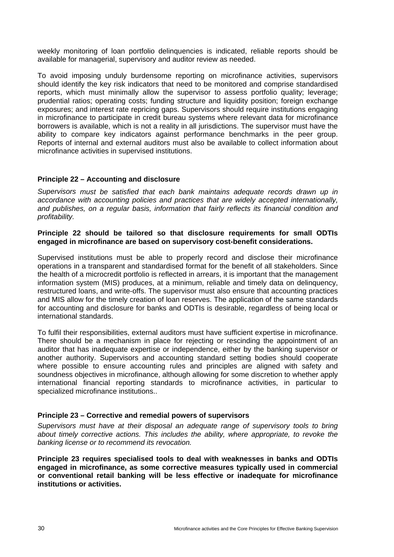weekly monitoring of loan portfolio delinquencies is indicated, reliable reports should be available for managerial, supervisory and auditor review as needed.

To avoid imposing unduly burdensome reporting on microfinance activities, supervisors should identify the key risk indicators that need to be monitored and comprise standardised reports, which must minimally allow the supervisor to assess portfolio quality; leverage; prudential ratios; operating costs; funding structure and liquidity position; foreign exchange exposures; and interest rate repricing gaps. Supervisors should require institutions engaging in microfinance to participate in credit bureau systems where relevant data for microfinance borrowers is available, which is not a reality in all jurisdictions. The supervisor must have the ability to compare key indicators against performance benchmarks in the peer group. Reports of internal and external auditors must also be available to collect information about microfinance activities in supervised institutions.

## **Principle 22 – Accounting and disclosure**

*Supervisors must be satisfied that each bank maintains adequate records drawn up in accordance with accounting policies and practices that are widely accepted internationally, and publishes, on a regular basis, information that fairly reflects its financial condition and profitability.* 

#### **Principle 22 should be tailored so that disclosure requirements for small ODTIs engaged in microfinance are based on supervisory cost-benefit considerations.**

Supervised institutions must be able to properly record and disclose their microfinance operations in a transparent and standardised format for the benefit of all stakeholders. Since the health of a microcredit portfolio is reflected in arrears, it is important that the management information system (MIS) produces, at a minimum, reliable and timely data on delinquency, restructured loans, and write-offs. The supervisor must also ensure that accounting practices and MIS allow for the timely creation of loan reserves. The application of the same standards for accounting and disclosure for banks and ODTIs is desirable, regardless of being local or international standards.

To fulfil their responsibilities, external auditors must have sufficient expertise in microfinance. There should be a mechanism in place for rejecting or rescinding the appointment of an auditor that has inadequate expertise or independence, either by the banking supervisor or another authority. Supervisors and accounting standard setting bodies should cooperate where possible to ensure accounting rules and principles are aligned with safety and soundness objectives in microfinance, although allowing for some discretion to whether apply international financial reporting standards to microfinance activities, in particular to specialized microfinance institutions..

#### **Principle 23 – Corrective and remedial powers of supervisors**

*Supervisors must have at their disposal an adequate range of supervisory tools to bring about timely corrective actions. This includes the ability, where appropriate, to revoke the banking license or to recommend its revocation.* 

**Principle 23 requires specialised tools to deal with weaknesses in banks and ODTIs engaged in microfinance, as some corrective measures typically used in commercial or conventional retail banking will be less effective or inadequate for microfinance institutions or activities.**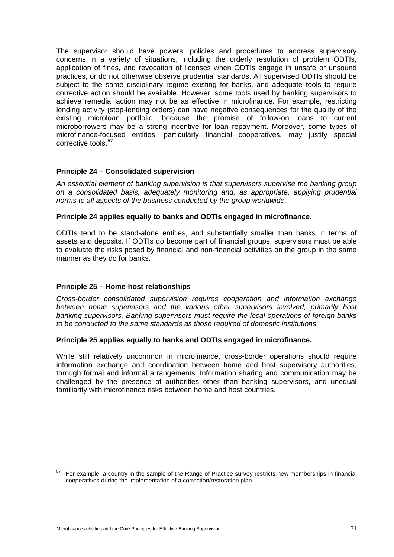The supervisor should have powers, policies and procedures to address supervisory concerns in a variety of situations, including the orderly resolution of problem ODTIs, application of fines, and revocation of licenses when ODTIs engage in unsafe or unsound practices, or do not otherwise observe prudential standards. All supervised ODTIs should be subject to the same disciplinary regime existing for banks, and adequate tools to require corrective action should be available. However, some tools used by banking supervisors to achieve remedial action may not be as effective in microfinance. For example, restricting lending activity (stop-lending orders) can have negative consequences for the quality of the existing microloan portfolio, because the promise of follow-on loans to current microborrowers may be a strong incentive for loan repayment. Moreover, some types of microfinance-focused entities, particularly financial cooperatives, may justify special corrective tools.<sup>[57](#page-36-0)</sup>

## **Principle 24 – Consolidated supervision**

*An essential element of banking supervision is that supervisors supervise the banking group on a consolidated basis, adequately monitoring and, as appropriate, applying prudential norms to all aspects of the business conducted by the group worldwide.* 

#### **Principle 24 applies equally to banks and ODTIs engaged in microfinance.**

ODTIs tend to be stand-alone entities, and substantially smaller than banks in terms of assets and deposits. If ODTIs do become part of financial groups, supervisors must be able to evaluate the risks posed by financial and non-financial activities on the group in the same manner as they do for banks.

## **Principle 25 – Home-host relationships**

*Cross-border consolidated supervision requires cooperation and information exchange between home supervisors and the various other supervisors involved, primarily host banking supervisors. Banking supervisors must require the local operations of foreign banks to be conducted to the same standards as those required of domestic institutions.* 

#### **Principle 25 applies equally to banks and ODTIs engaged in microfinance.**

While still relatively uncommon in microfinance, cross-border operations should require information exchange and coordination between home and host supervisory authorities, through formal and informal arrangements. Information sharing and communication may be challenged by the presence of authorities other than banking supervisors, and unequal familiarity with microfinance risks between home and host countries.

<span id="page-36-0"></span><sup>&</sup>lt;sup>57</sup> For example, a country in the sample of the Range of Practice survey restricts new memberships in financial cooperatives during the implementation of a correction/restoration plan.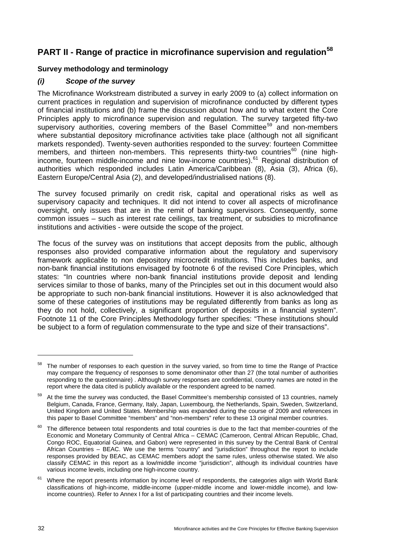# <span id="page-37-0"></span>**PART II - Range of practice in microfinance supervision and regulation[58](#page-37-2)**

## <span id="page-37-1"></span>**Survey methodology and terminology**

## *(i) Scope of the survey*

The Microfinance Workstream distributed a survey in early 2009 to (a) collect information on current practices in regulation and supervision of microfinance conducted by different types of financial institutions and (b) frame the discussion about how and to what extent the Core Principles apply to microfinance supervision and regulation. The survey targeted fifty-two supervisory authorities, covering members of the Basel Committee<sup>[59](#page-37-3)</sup> and non-members where substantial depository microfinance activities take place (although not all significant markets responded). Twenty-seven authorities responded to the survey: fourteen Committee members, and thirteen non-members. This represents thirty-two countries<sup>[60](#page-37-4)</sup> (nine highincome, fourteen middle-income and nine low-income countries).[61](#page-37-5) Regional distribution of authorities which responded includes Latin America/Caribbean (8), Asia (3), Africa (6), Eastern Europe/Central Asia (2), and developed/industrialised nations (8).

The survey focused primarily on credit risk, capital and operational risks as well as supervisory capacity and techniques. It did not intend to cover all aspects of microfinance oversight, only issues that are in the remit of banking supervisors. Consequently, some common issues – such as interest rate ceilings, tax treatment, or subsidies to microfinance institutions and activities - were outside the scope of the project.

The focus of the survey was on institutions that accept deposits from the public, although responses also provided comparative information about the regulatory and supervisory framework applicable to non depository microcredit institutions. This includes banks, and non-bank financial institutions envisaged by footnote 6 of the revised Core Principles, which states: "In countries where non-bank financial institutions provide deposit and lending services similar to those of banks, many of the Principles set out in this document would also be appropriate to such non-bank financial institutions. However it is also acknowledged that some of these categories of institutions may be regulated differently from banks as long as they do not hold, collectively, a significant proportion of deposits in a financial system". Footnote 11 of the Core Principles Methodology further specifies: "These institutions should be subject to a form of regulation commensurate to the type and size of their transactions".

 $\overline{a}$ 

<span id="page-37-2"></span>The number of responses to each question in the survey varied, so from time to time the Range of Practice may compare the frequency of responses to some denominator other than 27 (the total number of authorities responding to the questionnaire) . Although survey responses are confidential, country names are noted in the report where the data cited is publicly available or the respondent agreed to be named.

<span id="page-37-3"></span><sup>&</sup>lt;sup>59</sup> At the time the survey was conducted, the Basel Committee's membership consisted of 13 countries, namely Belgium, Canada, France, Germany, Italy, Japan, Luxembourg, the Netherlands, Spain, Sweden, Switzerland, United Kingdom and United States. Membership was expanded during the course of 2009 and references in this paper to Basel Committee "members" and "non-members" refer to these 13 original member countries.

<span id="page-37-4"></span>The difference between total respondents and total countries is due to the fact that member-countries of the Economic and Monetary Community of Central Africa – CEMAC (Cameroon, Central African Republic, Chad, Congo ROC, Equatorial Guinea, and Gabon) were represented in this survey by the Central Bank of Central African Countries – BEAC. We use the terms "country" and "jurisdiction" throughout the report to include responses provided by BEAC, as CEMAC members adopt the same rules, unless otherwise stated. We also classify CEMAC in this report as a low/middle income "jurisdiction", although its individual countries have various income levels, including one high-income country.

<span id="page-37-5"></span>Where the report presents information by income level of respondents, the categories align with World Bank classifications of high-income, middle-income (upper-middle income and lower-middle income), and lowincome countries). Refer to Annex I for a list of participating countries and their income levels.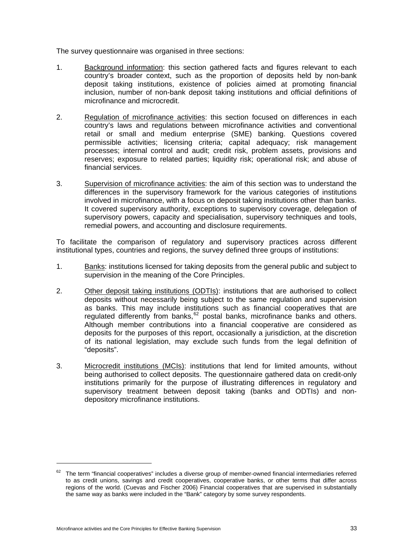The survey questionnaire was organised in three sections:

- 1. Background information: this section gathered facts and figures relevant to each country's broader context, such as the proportion of deposits held by non-bank deposit taking institutions, existence of policies aimed at promoting financial inclusion, number of non-bank deposit taking institutions and official definitions of microfinance and microcredit.
- 2. Regulation of microfinance activities: this section focused on differences in each country's laws and regulations between microfinance activities and conventional retail or small and medium enterprise (SME) banking. Questions covered permissible activities; licensing criteria; capital adequacy; risk management processes; internal control and audit; credit risk, problem assets, provisions and reserves; exposure to related parties; liquidity risk; operational risk; and abuse of financial services.
- 3. Supervision of microfinance activities: the aim of this section was to understand the differences in the supervisory framework for the various categories of institutions involved in microfinance, with a focus on deposit taking institutions other than banks. It covered supervisory authority, exceptions to supervisory coverage, delegation of supervisory powers, capacity and specialisation, supervisory techniques and tools, remedial powers, and accounting and disclosure requirements.

To facilitate the comparison of regulatory and supervisory practices across different institutional types, countries and regions, the survey defined three groups of institutions:

- 1. Banks: institutions licensed for taking deposits from the general public and subject to supervision in the meaning of the Core Principles.
- 2. Other deposit taking institutions (ODTIs): institutions that are authorised to collect deposits without necessarily being subject to the same regulation and supervision as banks. This may include institutions such as financial cooperatives that are regulated differently from banks, <sup>[62](#page-38-0)</sup> postal banks, microfinance banks and others. Although member contributions into a financial cooperative are considered as deposits for the purposes of this report, occasionally a jurisdiction, at the discretion of its national legislation, may exclude such funds from the legal definition of "deposits".
- 3. Microcredit institutions (MCIs): institutions that lend for limited amounts, without being authorised to collect deposits. The questionnaire gathered data on credit-only institutions primarily for the purpose of illustrating differences in regulatory and supervisory treatment between deposit taking (banks and ODTIs) and nondepository microfinance institutions.

<span id="page-38-0"></span> $62$  The term "financial cooperatives" includes a diverse group of member-owned financial intermediaries referred to as credit unions, savings and credit cooperatives, cooperative banks, or other terms that differ across regions of the world. (Cuevas and Fischer 2006) Financial cooperatives that are supervised in substantially the same way as banks were included in the "Bank" category by some survey respondents.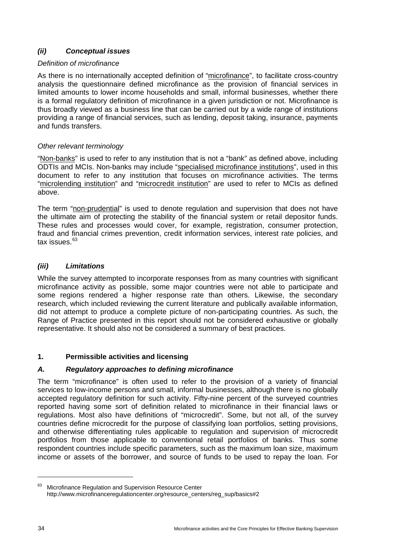## *(ii) Conceptual issues*

## *Definition of microfinance*

As there is no internationally accepted definition of "microfinance", to facilitate cross-country analysis the questionnaire defined microfinance as the provision of financial services in limited amounts to lower income households and small, informal businesses, whether there is a formal regulatory definition of microfinance in a given jurisdiction or not. Microfinance is thus broadly viewed as a business line that can be carried out by a wide range of institutions providing a range of financial services, such as lending, deposit taking, insurance, payments and funds transfers.

## *Other relevant terminology*

"Non-banks" is used to refer to any institution that is not a "bank" as defined above, including ODTIs and MCIs. Non-banks may include "specialised microfinance institutions", used in this document to refer to any institution that focuses on microfinance activities. The terms "microlending institution" and "microcredit institution" are used to refer to MCIs as defined above.

The term "non-prudential" is used to denote regulation and supervision that does not have the ultimate aim of protecting the stability of the financial system or retail depositor funds. These rules and processes would cover, for example, registration, consumer protection, fraud and financial crimes prevention, credit information services, interest rate policies, and tax issues.<sup>[63](#page-39-1)</sup>

## *(iii) Limitations*

While the survey attempted to incorporate responses from as many countries with significant microfinance activity as possible, some major countries were not able to participate and some regions rendered a higher response rate than others. Likewise, the secondary research, which included reviewing the current literature and publically available information, did not attempt to produce a complete picture of non-participating countries. As such, the Range of Practice presented in this report should not be considered exhaustive or globally representative. It should also not be considered a summary of best practices.

## <span id="page-39-0"></span>**1. Permissible activities and licensing**

## *A. Regulatory approaches to defining microfinance*

The term "microfinance" is often used to refer to the provision of a variety of financial services to low-income persons and small, informal businesses, although there is no globally accepted regulatory definition for such activity. Fifty-nine percent of the surveyed countries reported having some sort of definition related to microfinance in their financial laws or regulations. Most also have definitions of "microcredit". Some, but not all, of the survey countries define microcredit for the purpose of classifying loan portfolios, setting provisions, and otherwise differentiating rules applicable to regulation and supervision of microcredit portfolios from those applicable to conventional retail portfolios of banks. Thus some respondent countries include specific parameters, such as the maximum loan size, maximum income or assets of the borrower, and source of funds to be used to repay the loan. For

<span id="page-39-1"></span><sup>&</sup>lt;sup>63</sup> Microfinance Regulation and Supervision Resource Center http://www.microfinanceregulationcenter.org/resource\_centers/reg\_sup/basics#2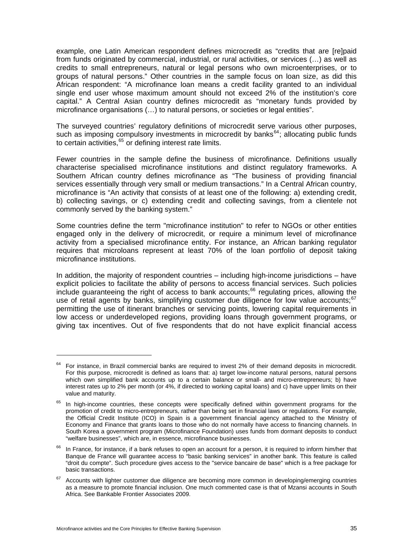example, one Latin American respondent defines microcredit as "credits that are [re]paid from funds originated by commercial, industrial, or rural activities, or services (…) as well as credits to small entrepreneurs, natural or legal persons who own microenterprises, or to groups of natural persons." Other countries in the sample focus on loan size, as did this African respondent: "A microfinance loan means a credit facility granted to an individual single end user whose maximum amount should not exceed 2% of the institution's core capital." A Central Asian country defines microcredit as "monetary funds provided by microfinance organisations (…) to natural persons, or societies or legal entities".

The surveyed countries' regulatory definitions of microcredit serve various other purposes, such as imposing compulsory investments in microcredit by banks $64$ ; allocating public funds to certain activities. $65$  or defining interest rate limits.

Fewer countries in the sample define the business of microfinance. Definitions usually characterise specialised microfinance institutions and distinct regulatory frameworks. A Southern African country defines microfinance as "The business of providing financial services essentially through very small or medium transactions." In a Central African country, microfinance is "An activity that consists of at least one of the following: a) extending credit, b) collecting savings, or c) extending credit and collecting savings, from a clientele not commonly served by the banking system."

Some countries define the term "microfinance institution" to refer to NGOs or other entities engaged only in the delivery of microcredit, or require a minimum level of microfinance activity from a specialised microfinance entity. For instance, an African banking regulator requires that microloans represent at least 70% of the loan portfolio of deposit taking microfinance institutions.

In addition, the majority of respondent countries – including high-income jurisdictions – have explicit policies to facilitate the ability of persons to access financial services. Such policies include guaranteeing the right of access to bank accounts; $^{66}$  $^{66}$  $^{66}$  regulating prices, allowing the use of retail agents by banks, simplifying customer due diligence for low value accounts;  $67$ permitting the use of itinerant branches or servicing points, lowering capital requirements in low access or underdeveloped regions, providing loans through government programs, or giving tax incentives. Out of five respondents that do not have explicit financial access

 $\overline{a}$ 

<span id="page-40-0"></span><sup>64</sup> For instance, in Brazil commercial banks are required to invest 2% of their demand deposits in microcredit. For this purpose, microcredit is defined as loans that: a) target low-income natural persons, natural persons which own simplified bank accounts up to a certain balance or small- and micro-entrepreneurs; b) have interest rates up to 2% per month (or 4%, if directed to working capital loans) and c) have upper limits on their value and maturity.

<span id="page-40-1"></span><sup>&</sup>lt;sup>65</sup> In high-income countries, these concepts were specifically defined within government programs for the promotion of credit to micro-entrepreneurs, rather than being set in financial laws or regulations. For example, the Official Credit Institute (ICO) in Spain is a government financial agency attached to the Ministry of Economy and Finance that grants loans to those who do not normally have access to financing channels. In South Korea a government program (Microfinance Foundation) uses funds from dormant deposits to conduct "welfare businesses", which are, in essence, microfinance businesses.

<span id="page-40-2"></span> $66$  In France, for instance, if a bank refuses to open an account for a person, it is required to inform him/her that Banque de France will guarantee access to "basic banking services" in another bank. This feature is called "droit du compte". Such procedure gives access to the "service bancaire de base" which is a free package for basic transactions.

<span id="page-40-3"></span><sup>&</sup>lt;sup>67</sup> Accounts with lighter customer due diligence are becoming more common in developing/emerging countries as a measure to promote financial inclusion. One much commented case is that of Mzansi accounts in South Africa. See Bankable Frontier Associates 2009.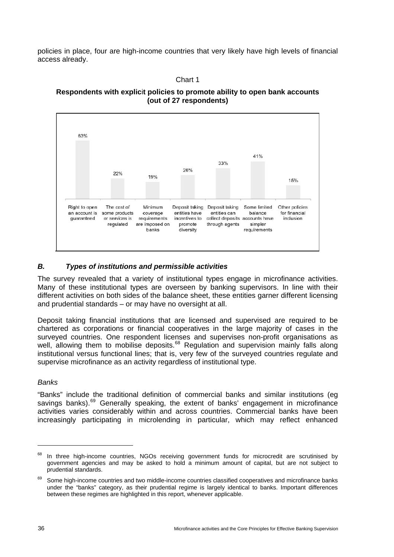policies in place, four are high-income countries that very likely have high levels of financial access already.

Chart 1

**Respondents with explic**i**t policies to promote ability to open bank accounts (out of 27 respondents)** 



## *B. Types of institutions and permissible activities*

The survey revealed that a variety of institutional types engage in microfinance activities. Many of these institutional types are overseen by banking supervisors. In line with their different activities on both sides of the balance sheet, these entities garner different licensing and prudential standards – or may have no oversight at all.

Deposit taking financial institutions that are licensed and supervised are required to be chartered as corporations or financial cooperatives in the large majority of cases in the surveyed countries. One respondent licenses and supervises non-profit organisations as well, allowing them to mobilise deposits.<sup>[68](#page-41-0)</sup> Regulation and supervision mainly falls along institutional versus functional lines; that is, very few of the surveyed countries regulate and supervise microfinance as an activity regardless of institutional type.

## *Banks*

"Banks" include the traditional definition of commercial banks and similar institutions (eg savings banks).<sup>[69](#page-41-1)</sup> Generally speaking, the extent of banks' engagement in microfinance activities varies considerably within and across countries. Commercial banks have been increasingly participating in microlending in particular, which may reflect enhanced

<span id="page-41-0"></span><sup>&</sup>lt;sup>68</sup> In three high-income countries, NGOs receiving government funds for microcredit are scrutinised by government agencies and may be asked to hold a minimum amount of capital, but are not subject to prudential standards.

<span id="page-41-1"></span><sup>&</sup>lt;sup>69</sup> Some high-income countries and two middle-income countries classified cooperatives and microfinance banks under the "banks" category, as their prudential regime is largely identical to banks. Important differences between these regimes are highlighted in this report, whenever applicable.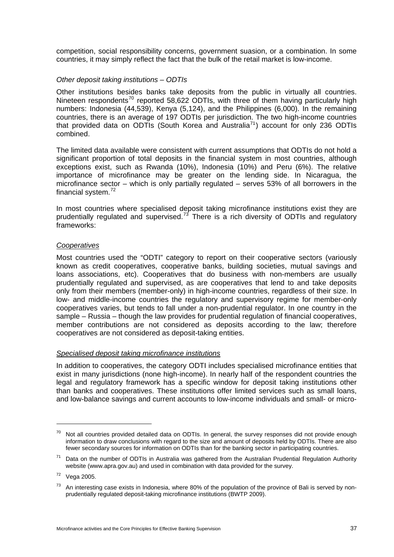competition, social responsibility concerns, government suasion, or a combination. In some countries, it may simply reflect the fact that the bulk of the retail market is low-income.

## *Other deposit taking institutions – ODTIs*

Other institutions besides banks take deposits from the public in virtually all countries. Nineteen respondents<sup>[70](#page-42-0)</sup> reported 58,622 ODTIs, with three of them having particularly high numbers: Indonesia (44,539), Kenya (5,124), and the Philippines (6,000). In the remaining countries, there is an average of 197 ODTIs per jurisdiction. The two high-income countries that provided data on ODTIs (South Korea and Australia<sup>[71](#page-42-1)</sup>) account for only 236 ODTIs combined.

The limited data available were consistent with current assumptions that ODTIs do not hold a significant proportion of total deposits in the financial system in most countries, although exceptions exist, such as Rwanda (10%), Indonesia (10%) and Peru (6%). The relative importance of microfinance may be greater on the lending side. In Nicaragua, the microfinance sector – which is only partially regulated – serves 53% of all borrowers in the financial system.<sup>[72](#page-42-2)</sup>

In most countries where specialised deposit taking microfinance institutions exist they are prudentially regulated and supervised.<sup>[73](#page-42-3)</sup> There is a rich diversity of ODTIs and regulatory frameworks:

## *Cooperatives*

Most countries used the "ODTI" category to report on their cooperative sectors (variously known as credit cooperatives, cooperative banks, building societies, mutual savings and loans associations, etc). Cooperatives that do business with non-members are usually prudentially regulated and supervised, as are cooperatives that lend to and take deposits only from their members (member-only) in high-income countries, regardless of their size. In low- and middle-income countries the regulatory and supervisory regime for member-only cooperatives varies, but tends to fall under a non-prudential regulator. In one country in the sample – Russia – though the law provides for prudential regulation of financial cooperatives, member contributions are not considered as deposits according to the law; therefore cooperatives are not considered as deposit-taking entities.

## *Specialised deposit taking microfinance institutions*

In addition to cooperatives, the category ODTI includes specialised microfinance entities that exist in many jurisdictions (none high-income). In nearly half of the respondent countries the legal and regulatory framework has a specific window for deposit taking institutions other than banks and cooperatives. These institutions offer limited services such as small loans, and low-balance savings and current accounts to low-income individuals and small- or micro-

 $\overline{a}$ 

<span id="page-42-0"></span><sup>&</sup>lt;sup>70</sup> Not all countries provided detailed data on ODTIs. In general, the survey responses did not provide enough information to draw conclusions with regard to the size and amount of deposits held by ODTIs. There are also fewer secondary sources for information on ODTIs than for the banking sector in participating countries.

<span id="page-42-1"></span> $71$  Data on the number of ODTIs in Australia was gathered from the Australian Prudential Regulation Authority website (www.apra.gov.au) and used in combination with data provided for the survey.

<span id="page-42-2"></span> $72$  Vega 2005.

<span id="page-42-3"></span> $73$  An interesting case exists in Indonesia, where 80% of the population of the province of Bali is served by nonprudentially regulated deposit-taking microfinance institutions (BWTP 2009).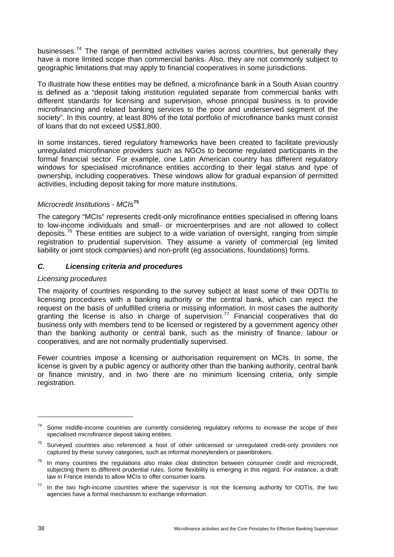businesses.<sup>[74](#page-43-0)</sup> The range of permitted activities varies across countries, but generally they have a more limited scope than commercial banks. Also, they are not commonly subject to geographic limitations that may apply to financial cooperatives in some jurisdictions.

To illustrate how these entities may be defined, a microfinance bank in a South Asian country is defined as a "deposit taking institution regulated separate from commercial banks with different standards for licensing and supervision, whose principal business is to provide microfinancing and related banking services to the poor and underserved segment of the society". In this country, at least 80% of the total portfolio of microfinance banks must consist of loans that do not exceed US\$1,800.

In some instances, tiered regulatory frameworks have been created to facilitate previously unregulated microfinance providers such as NGOs to become regulated participants in the formal financial sector. For example, one Latin American country has different regulatory windows for specialised microfinance entities according to their legal status and type of ownership, including cooperatives. These windows allow for gradual expansion of permitted activities, including deposit taking for more mature institutions.

## *Microcredit Institutions - MCIs***[75](#page-43-1)**

The category "MCIs" represents credit-only microfinance entities specialised in offering loans to low-income individuals and small- or microenterprises and are not allowed to collect deposits.<sup>[76](#page-43-2)</sup> These entities are subject to a wide variation of oversight, ranging from simple registration to prudential supervision. They assume a variety of commercial (eg limited liability or joint stock companies) and non-profit (eg associations, foundations) forms.

## *C. Licensing criteria and procedures*

## *Licensing procedures*

The majority of countries responding to the survey subject at least some of their ODTIs to licensing procedures with a banking authority or the central bank, which can reject the request on the basis of unfulfilled criteria or missing information. In most cases the authority granting the license is also in charge of supervision.<sup>[77](#page-43-3)</sup> Financial cooperatives that do business only with members tend to be licensed or registered by a government agency other than the banking authority or central bank, such as the ministry of finance, labour or cooperatives, and are not normally prudentially supervised.

Fewer countries impose a licensing or authorisation requirement on MCIs. In some, the license is given by a public agency or authority other than the banking authority, central bank or finance ministry, and in two there are no minimum licensing criteria, only simple registration.

<span id="page-43-0"></span><sup>&</sup>lt;sup>74</sup> Some middle-income countries are currently considering regulatory reforms to increase the scope of their specialised microfinance deposit taking entities.

<span id="page-43-1"></span><sup>&</sup>lt;sup>75</sup> Surveyed countries also referenced a host of other unlicensed or unregulated credit-only providers not captured by these survey categories, such as informal moneylenders or pawnbrokers.

<span id="page-43-2"></span> $76$  In many countries the regulations also make clear distinction between consumer credit and microcredit, subjecting them to different prudential rules. Some flexibility is emerging in this regard. For instance, a draft law in France intends to allow MCIs to offer consumer loans.

<span id="page-43-3"></span>In the two high-income countries where the supervisor is not the licensing authority for ODTIs, the two agencies have a formal mechanism to exchange information.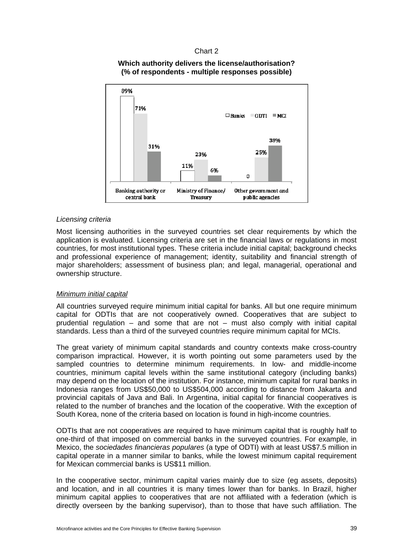## Chart 2

## **Which authority delivers the license/authorisation? (% of respondents - multiple responses possible)**



## *Licensing criteria*

Most licensing authorities in the surveyed countries set clear requirements by which the application is evaluated. Licensing criteria are set in the financial laws or regulations in most countries, for most institutional types. These criteria include initial capital; background checks and professional experience of management; identity, suitability and financial strength of major shareholders; assessment of business plan; and legal, managerial, operational and ownership structure.

#### *Minimum initial capital*

All countries surveyed require minimum initial capital for banks. All but one require minimum capital for ODTIs that are not cooperatively owned. Cooperatives that are subject to prudential regulation – and some that are not – must also comply with initial capital standards. Less than a third of the surveyed countries require minimum capital for MCIs.

The great variety of minimum capital standards and country contexts make cross-country comparison impractical. However, it is worth pointing out some parameters used by the sampled countries to determine minimum requirements. In low- and middle-income countries, minimum capital levels within the same institutional category (including banks) may depend on the location of the institution. For instance, minimum capital for rural banks in Indonesia ranges from US\$50,000 to US\$504,000 according to distance from Jakarta and provincial capitals of Java and Bali. In Argentina, initial capital for financial cooperatives is related to the number of branches and the location of the cooperative. With the exception of South Korea, none of the criteria based on location is found in high-income countries.

ODTIs that are not cooperatives are required to have minimum capital that is roughly half to one-third of that imposed on commercial banks in the surveyed countries. For example, in Mexico, the *sociedades financieras populares* (a type of ODTI) with at least US\$7.5 million in capital operate in a manner similar to banks, while the lowest minimum capital requirement for Mexican commercial banks is US\$11 million.

In the cooperative sector, minimum capital varies mainly due to size (eg assets, deposits) and location, and in all countries it is many times lower than for banks. In Brazil, higher minimum capital applies to cooperatives that are not affiliated with a federation (which is directly overseen by the banking supervisor), than to those that have such affiliation. The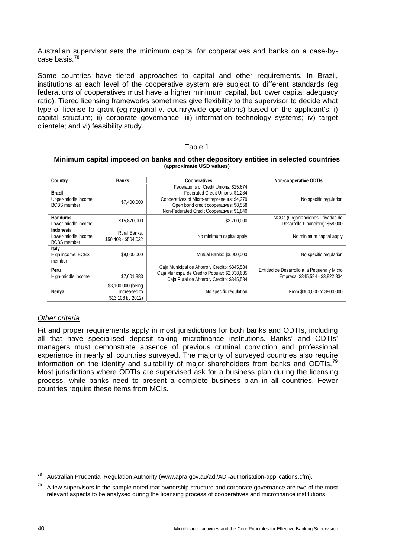Australian supervisor sets the minimum capital for cooperatives and banks on a case-bycase basis.[78](#page-45-0)

Some countries have tiered approaches to capital and other requirements. In Brazil, institutions at each level of the cooperative system are subject to different standards (eg federations of cooperatives must have a higher minimum capital, but lower capital adequacy ratio). Tiered licensing frameworks sometimes give flexibility to the supervisor to decide what type of license to grant (eg regional v. countrywide operations) based on the applicant's: i) capital structure; ii) corporate governance; iii) information technology systems; iv) target clientele; and vi) feasibility study.

#### Table 1

#### **Minimum capital imposed on banks and other depository entities in selected countries (approximate USD values)**

| Country                                                     | <b>Banks</b>                                            | <b>Cooperatives</b>                                                                                                                                                                                                | <b>Non-cooperative ODTIs</b>                                                   |
|-------------------------------------------------------------|---------------------------------------------------------|--------------------------------------------------------------------------------------------------------------------------------------------------------------------------------------------------------------------|--------------------------------------------------------------------------------|
| <b>Brazil</b><br>Upper-middle income,<br><b>BCBS</b> member | \$7,400,000                                             | Federations of Credit Unions: \$25,674<br>Federated Credit Unions: \$1.284<br>Cooperatives of Micro-entrepreneurs: \$4,279<br>Open bond credit cooperatives: \$8,558<br>Non-Federated Credit Cooperatives: \$1,840 | No specific regulation                                                         |
| <b>Honduras</b><br>Lower-middle income                      | \$15,870,000                                            | \$3,700,000                                                                                                                                                                                                        | NGOs (Organizaciones Privadas de<br>Desarrollo Financiero): \$58,000           |
| Indonesia<br>Lower-middle income.<br><b>BCBS</b> member     | Rural Banks:<br>\$50,403 - \$504,032                    | No minimum capital apply                                                                                                                                                                                           | No minimum capital apply                                                       |
| Italy<br>High income, BCBS<br>member                        | \$9,000,000                                             | Mutual Banks: \$3,000,000                                                                                                                                                                                          | No specific regulation                                                         |
| Peru<br>High-middle income                                  | \$7,601,883                                             | Caja Municipal de Ahorro y Credito: \$345,584<br>Caja Municipal de Credito Popular: \$2,038,635<br>Caja Rural de Ahorro y Credito: \$345,584                                                                       | Entidad de Desarrollo a la Pequena y Micro<br>Empresa: \$345,584 - \$3,822,834 |
| Kenya                                                       | \$3,100,000 (being<br>increased to<br>\$13,106 by 2012) | No specific regulation                                                                                                                                                                                             | From \$300,000 to \$800,000                                                    |

## *Other criteria*

Fit and proper requirements apply in most jurisdictions for both banks and ODTIs, including all that have specialised deposit taking microfinance institutions. Banks' and ODTIs' managers must demonstrate absence of previous criminal conviction and professional experience in nearly all countries surveyed. The majority of surveyed countries also require information on the identity and suitability of major shareholders from banks and ODTIs.<sup>[79](#page-45-1)</sup> Most jurisdictions where ODTIs are supervised ask for a business plan during the licensing process, while banks need to present a complete business plan in all countries. Fewer countries require these items from MCIs.

<span id="page-45-0"></span><sup>78</sup> Australian Prudential Regulation Authority (www.apra.gov.au/adi/ADI-authorisation-applications.cfm).

<span id="page-45-1"></span> $79$  A few supervisors in the sample noted that ownership structure and corporate governance are two of the most relevant aspects to be analysed during the licensing process of cooperatives and microfinance institutions.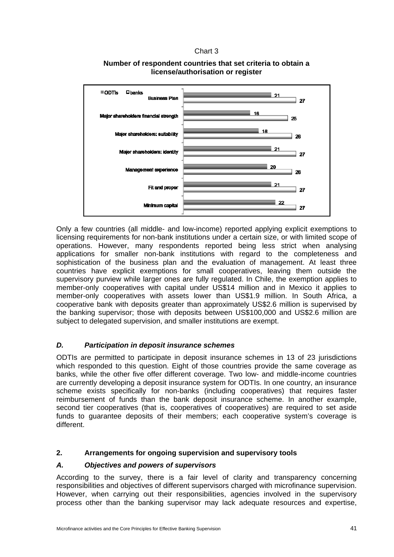## Chart 3



## **Number of respondent countries that set criteria to obtain a license/authorisation or register**

Only a few countries (all middle- and low-income) reported applying explicit exemptions to licensing requirements for non-bank institutions under a certain size, or with limited scope of operations. However, many respondents reported being less strict when analysing applications for smaller non-bank institutions with regard to the completeness and sophistication of the business plan and the evaluation of management. At least three countries have explicit exemptions for small cooperatives, leaving them outside the supervisory purview while larger ones are fully regulated. In Chile, the exemption applies to member-only cooperatives with capital under US\$14 million and in Mexico it applies to member-only cooperatives with assets lower than US\$1.9 million. In South Africa, a cooperative bank with deposits greater than approximately US\$2.6 million is supervised by the banking supervisor; those with deposits between US\$100,000 and US\$2.6 million are subject to delegated supervision, and smaller institutions are exempt.

## *D. Participation in deposit insurance schemes*

ODTIs are permitted to participate in deposit insurance schemes in 13 of 23 jurisdictions which responded to this question. Eight of those countries provide the same coverage as banks, while the other five offer different coverage. Two low- and middle-income countries are currently developing a deposit insurance system for ODTIs. In one country, an insurance scheme exists specifically for non-banks (including cooperatives) that requires faster reimbursement of funds than the bank deposit insurance scheme. In another example, second tier cooperatives (that is, cooperatives of cooperatives) are required to set aside funds to guarantee deposits of their members; each cooperative system's coverage is different.

## <span id="page-46-0"></span>**2. Arrangements for ongoing supervision and supervisory tools**

## *A. Objectives and powers of supervisors*

According to the survey, there is a fair level of clarity and transparency concerning responsibilities and objectives of different supervisors charged with microfinance supervision. However, when carrying out their responsibilities, agencies involved in the supervisory process other than the banking supervisor may lack adequate resources and expertise,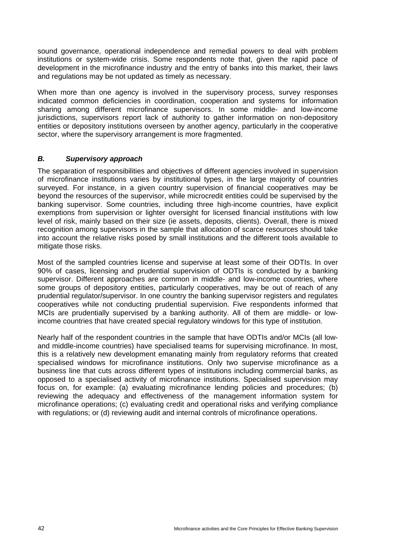sound governance, operational independence and remedial powers to deal with problem institutions or system-wide crisis. Some respondents note that, given the rapid pace of development in the microfinance industry and the entry of banks into this market, their laws and regulations may be not updated as timely as necessary.

When more than one agency is involved in the supervisory process, survey responses indicated common deficiencies in coordination, cooperation and systems for information sharing among different microfinance supervisors. In some middle- and low-income jurisdictions, supervisors report lack of authority to gather information on non-depository entities or depository institutions overseen by another agency, particularly in the cooperative sector, where the supervisory arrangement is more fragmented.

## *B. Supervisory approach*

The separation of responsibilities and objectives of different agencies involved in supervision of microfinance institutions varies by institutional types, in the large majority of countries surveyed. For instance, in a given country supervision of financial cooperatives may be beyond the resources of the supervisor, while microcredit entities could be supervised by the banking supervisor. Some countries, including three high-income countries, have explicit exemptions from supervision or lighter oversight for licensed financial institutions with low level of risk, mainly based on their size (ie assets, deposits, clients). Overall, there is mixed recognition among supervisors in the sample that allocation of scarce resources should take into account the relative risks posed by small institutions and the different tools available to mitigate those risks.

Most of the sampled countries license and supervise at least some of their ODTIs. In over 90% of cases, licensing and prudential supervision of ODTIs is conducted by a banking supervisor. Different approaches are common in middle- and low-income countries, where some groups of depository entities, particularly cooperatives, may be out of reach of any prudential regulator/supervisor. In one country the banking supervisor registers and regulates cooperatives while not conducting prudential supervision. Five respondents informed that MCIs are prudentially supervised by a banking authority. All of them are middle- or lowincome countries that have created special regulatory windows for this type of institution.

Nearly half of the respondent countries in the sample that have ODTIs and/or MCIs (all lowand middle-income countries) have specialised teams for supervising microfinance. In most, this is a relatively new development emanating mainly from regulatory reforms that created specialised windows for microfinance institutions. Only two supervise microfinance as a business line that cuts across different types of institutions including commercial banks, as opposed to a specialised activity of microfinance institutions. Specialised supervision may focus on, for example: (a) evaluating microfinance lending policies and procedures; (b) reviewing the adequacy and effectiveness of the management information system for microfinance operations; (c) evaluating credit and operational risks and verifying compliance with regulations; or (d) reviewing audit and internal controls of microfinance operations.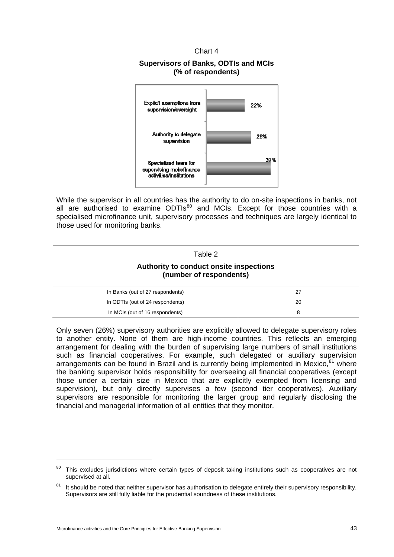Chart 4

## **Supervisors of Banks, ODTIs and MCIs (% of respondents)**



While the supervisor in all countries has the authority to do on-site inspections in banks, not all are authorised to examine ODTIs<sup>[80](#page-48-0)</sup> and MCIs. Except for those countries with a specialised microfinance unit, supervisory processes and techniques are largely identical to those used for monitoring banks.

# Table 2

## **Authority to conduct onsite inspections (number of respondents)**

| In Banks (out of 27 respondents) | 27 |
|----------------------------------|----|
| In ODTIs (out of 24 respondents) | 20 |
| In MCIs (out of 16 respondents)  |    |

Only seven (26%) supervisory authorities are explicitly allowed to delegate supervisory roles to another entity. None of them are high-income countries. This reflects an emerging arrangement for dealing with the burden of supervising large numbers of small institutions such as financial cooperatives. For example, such delegated or auxiliary supervision arrangements can be found in Brazil and is currently being implemented in Mexico. $^{81}$  $^{81}$  $^{81}$  where the banking supervisor holds responsibility for overseeing all financial cooperatives (except those under a certain size in Mexico that are explicitly exempted from licensing and supervision), but only directly supervises a few (second tier cooperatives). Auxiliary supervisors are responsible for monitoring the larger group and regularly disclosing the financial and managerial information of all entities that they monitor.

<span id="page-48-0"></span><sup>&</sup>lt;sup>80</sup> This excludes jurisdictions where certain types of deposit taking institutions such as cooperatives are not supervised at all.

<span id="page-48-1"></span> $81$  It should be noted that neither supervisor has authorisation to delegate entirely their supervisory responsibility. Supervisors are still fully liable for the prudential soundness of these institutions.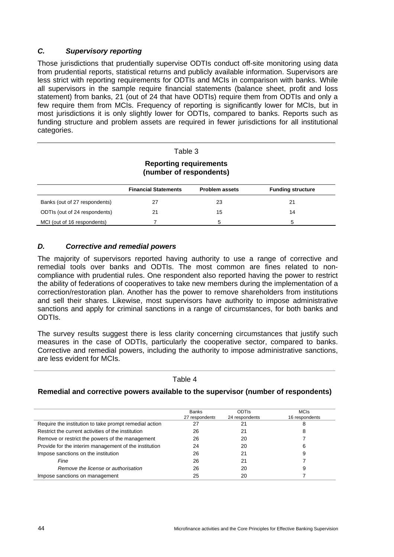## *C. Supervisory reporting*

Those jurisdictions that prudentially supervise ODTIs conduct off-site monitoring using data from prudential reports, statistical returns and publicly available information. Supervisors are less strict with reporting requirements for ODTIs and MCIs in comparison with banks. While all supervisors in the sample require financial statements (balance sheet, profit and loss statement) from banks, 21 (out of 24 that have ODTIs) require them from ODTIs and only a few require them from MCIs. Frequency of reporting is significantly lower for MCIs, but in most jurisdictions it is only slightly lower for ODTIs, compared to banks. Reports such as funding structure and problem assets are required in fewer jurisdictions for all institutional categories.

| Table 3                                                  |                             |                       |                          |
|----------------------------------------------------------|-----------------------------|-----------------------|--------------------------|
| <b>Reporting requirements</b><br>(number of respondents) |                             |                       |                          |
|                                                          | <b>Financial Statements</b> | <b>Problem assets</b> | <b>Funding structure</b> |
| Banks (out of 27 respondents)                            | 27                          | 23                    | 21                       |
| ODTIs (out of 24 respondents)                            | 21                          | 15                    | 14                       |
| MCI (out of 16 respondents)                              |                             | 5                     | 5                        |

## *D. Corrective and remedial powers*

The majority of supervisors reported having authority to use a range of corrective and remedial tools over banks and ODTIs. The most common are fines related to noncompliance with prudential rules. One respondent also reported having the power to restrict the ability of federations of cooperatives to take new members during the implementation of a correction/restoration plan. Another has the power to remove shareholders from institutions and sell their shares. Likewise, most supervisors have authority to impose administrative sanctions and apply for criminal sanctions in a range of circumstances, for both banks and ODTIs.

The survey results suggest there is less clarity concerning circumstances that justify such measures in the case of ODTIs, particularly the cooperative sector, compared to banks. Corrective and remedial powers, including the authority to impose administrative sanctions, are less evident for MCIs.

#### Table 4

## **Remedial and corrective powers available to the supervisor (number of respondents)**

|                                                        | <b>Banks</b><br>27 respondents | <b>ODTIS</b><br>24 respondents | <b>MCIs</b><br>16 respondents |
|--------------------------------------------------------|--------------------------------|--------------------------------|-------------------------------|
| Require the institution to take prompt remedial action | 27                             |                                |                               |
| Restrict the current activities of the institution     | 26                             | 21                             | 8                             |
| Remove or restrict the powers of the management        | 26                             | 20                             |                               |
| Provide for the interim management of the institution  | 24                             | 20                             | 6                             |
| Impose sanctions on the institution                    | 26                             | 21                             |                               |
| Fine                                                   | 26                             | 21                             |                               |
| Remove the license or authorisation                    | 26                             | 20                             |                               |
| Impose sanctions on management                         | 25                             | 20                             |                               |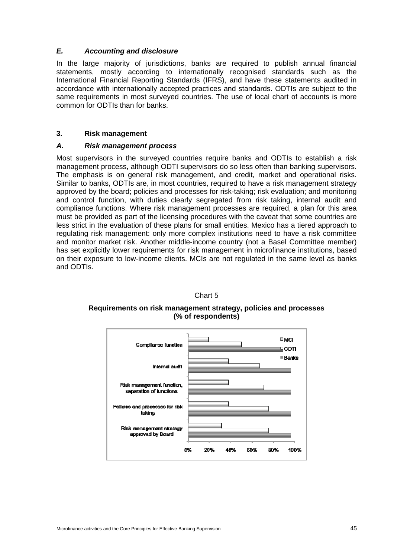## *E. Accounting and disclosure*

In the large majority of jurisdictions, banks are required to publish annual financial statements, mostly according to internationally recognised standards such as the International Financial Reporting Standards (IFRS), and have these statements audited in accordance with internationally accepted practices and standards. ODTIs are subject to the same requirements in most surveyed countries. The use of local chart of accounts is more common for ODTIs than for banks.

## <span id="page-50-0"></span>**3. Risk management**

## *A. Risk management process*

Most supervisors in the surveyed countries require banks and ODTIs to establish a risk management process, although ODTI supervisors do so less often than banking supervisors. The emphasis is on general risk management, and credit, market and operational risks. Similar to banks, ODTIs are, in most countries, required to have a risk management strategy approved by the board; policies and processes for risk-taking; risk evaluation; and monitoring and control function, with duties clearly segregated from risk taking, internal audit and compliance functions. Where risk management processes are required, a plan for this area must be provided as part of the licensing procedures with the caveat that some countries are less strict in the evaluation of these plans for small entities. Mexico has a tiered approach to regulating risk management: only more complex institutions need to have a risk committee and monitor market risk. Another middle-income country (not a Basel Committee member) has set explicitly lower requirements for risk management in microfinance institutions, based on their exposure to low-income clients. MCIs are not regulated in the same level as banks and ODTIs.



Chart 5

**Requirements on risk management strategy, policies and processes (% of respondents)**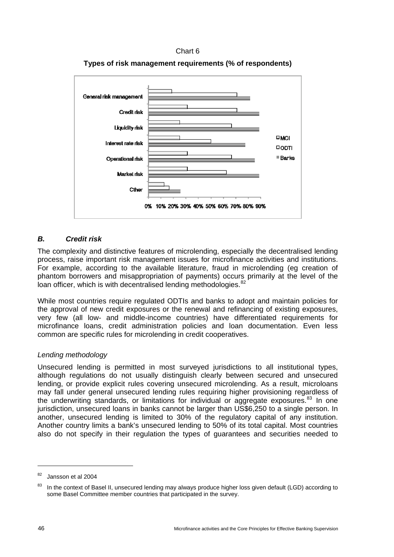





## *B. Credit risk*

The complexity and distinctive features of microlending, especially the decentralised lending process, raise important risk management issues for microfinance activities and institutions. For example, according to the available literature, fraud in microlending (eg creation of phantom borrowers and misappropriation of payments) occurs primarily at the level of the loan officer, which is with decentralised lending methodologies.<sup>[82](#page-51-0)</sup>

While most countries require regulated ODTIs and banks to adopt and maintain policies for the approval of new credit exposures or the renewal and refinancing of existing exposures, very few (all low- and middle-income countries) have differentiated requirements for microfinance loans, credit administration policies and loan documentation. Even less common are specific rules for microlending in credit cooperatives.

## *Lending methodology*

Unsecured lending is permitted in most surveyed jurisdictions to all institutional types, although regulations do not usually distinguish clearly between secured and unsecured lending, or provide explicit rules covering unsecured microlending. As a result, microloans may fall under general unsecured lending rules requiring higher provisioning regardless of the underwriting standards, or limitations for individual or aggregate exposures. $83$  In one jurisdiction, unsecured loans in banks cannot be larger than US\$6,250 to a single person. In another, unsecured lending is limited to 30% of the regulatory capital of any institution. Another country limits a bank's unsecured lending to 50% of its total capital. Most countries also do not specify in their regulation the types of guarantees and securities needed to

<span id="page-51-0"></span><sup>82</sup> Jansson et al 2004

<span id="page-51-1"></span><sup>&</sup>lt;sup>83</sup> In the context of Basel II, unsecured lending may always produce higher loss given default (LGD) according to some Basel Committee member countries that participated in the survey.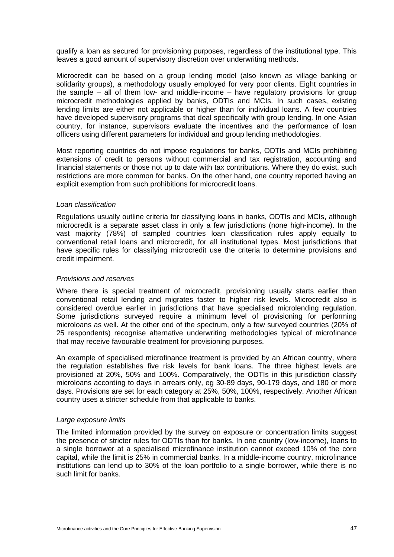qualify a loan as secured for provisioning purposes, regardless of the institutional type. This leaves a good amount of supervisory discretion over underwriting methods.

Microcredit can be based on a group lending model (also known as village banking or solidarity groups), a methodology usually employed for very poor clients. Eight countries in the sample – all of them low- and middle-income – have regulatory provisions for group microcredit methodologies applied by banks, ODTIs and MCIs. In such cases, existing lending limits are either not applicable or higher than for individual loans. A few countries have developed supervisory programs that deal specifically with group lending. In one Asian country, for instance, supervisors evaluate the incentives and the performance of loan officers using different parameters for individual and group lending methodologies.

Most reporting countries do not impose regulations for banks, ODTIs and MCIs prohibiting extensions of credit to persons without commercial and tax registration, accounting and financial statements or those not up to date with tax contributions. Where they do exist, such restrictions are more common for banks. On the other hand, one country reported having an explicit exemption from such prohibitions for microcredit loans.

#### *Loan classification*

Regulations usually outline criteria for classifying loans in banks, ODTIs and MCIs, although microcredit is a separate asset class in only a few jurisdictions (none high-income). In the vast majority (78%) of sampled countries loan classification rules apply equally to conventional retail loans and microcredit, for all institutional types. Most jurisdictions that have specific rules for classifying microcredit use the criteria to determine provisions and credit impairment.

#### *Provisions and reserves*

Where there is special treatment of microcredit, provisioning usually starts earlier than conventional retail lending and migrates faster to higher risk levels. Microcredit also is considered overdue earlier in jurisdictions that have specialised microlending regulation. Some jurisdictions surveyed require a minimum level of provisioning for performing microloans as well. At the other end of the spectrum, only a few surveyed countries (20% of 25 respondents) recognise alternative underwriting methodologies typical of microfinance that may receive favourable treatment for provisioning purposes.

An example of specialised microfinance treatment is provided by an African country, where the regulation establishes five risk levels for bank loans. The three highest levels are provisioned at 20%, 50% and 100%. Comparatively, the ODTIs in this jurisdiction classify microloans according to days in arrears only, eg 30-89 days, 90-179 days, and 180 or more days. Provisions are set for each category at 25%, 50%, 100%, respectively. Another African country uses a stricter schedule from that applicable to banks.

#### *Large exposure limits*

The limited information provided by the survey on exposure or concentration limits suggest the presence of stricter rules for ODTIs than for banks. In one country (low-income), loans to a single borrower at a specialised microfinance institution cannot exceed 10% of the core capital, while the limit is 25% in commercial banks. In a middle-income country, microfinance institutions can lend up to 30% of the loan portfolio to a single borrower, while there is no such limit for banks.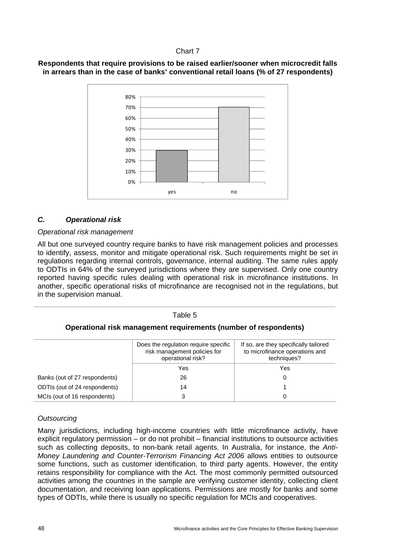## Chart 7

## **Respondents that require provisions to be raised earlier/sooner when microcredit falls in arrears than in the case of banks' conventional retail loans (% of 27 respondents)**



## *C. Operational risk*

## *Operational risk management*

All but one surveyed country require banks to have risk management policies and processes to identify, assess, monitor and mitigate operational risk. Such requirements might be set in regulations regarding internal controls, governance, internal auditing. The same rules apply to ODTIs in 64% of the surveyed jurisdictions where they are supervised. Only one country reported having specific rules dealing with operational risk in microfinance institutions. In another, specific operational risks of microfinance are recognised not in the regulations, but in the supervision manual.

#### Table 5

## **Operational risk management requirements (number of respondents)**

|                               | Does the regulation require specific<br>risk management policies for<br>operational risk? | If so, are they specifically tailored<br>to microfinance operations and<br>techniques? |
|-------------------------------|-------------------------------------------------------------------------------------------|----------------------------------------------------------------------------------------|
|                               | Yes                                                                                       | Yes                                                                                    |
| Banks (out of 27 respondents) | 26                                                                                        |                                                                                        |
| ODTIs (out of 24 respondents) | 14                                                                                        |                                                                                        |
| MCIs (out of 16 respondents)  | 3                                                                                         |                                                                                        |

## *Outsourcing*

Many jurisdictions, including high-income countries with little microfinance activity, have explicit regulatory permission – or do not prohibit – financial institutions to outsource activities such as collecting deposits, to non-bank retail agents. In Australia, for instance, the *Anti-Money Laundering and Counter-Terrorism Financing Act 2006* allows entities to outsource some functions, such as customer identification, to third party agents. However, the entity retains responsibility for compliance with the Act. The most commonly permitted outsourced activities among the countries in the sample are verifying customer identity, collecting client documentation, and receiving loan applications. Permissions are mostly for banks and some types of ODTIs, while there is usually no specific regulation for MCIs and cooperatives.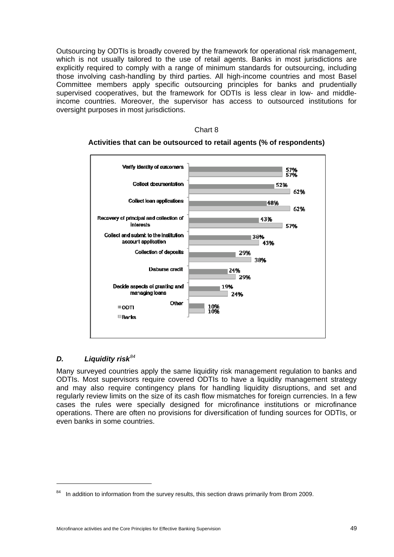Outsourcing by ODTIs is broadly covered by the framework for operational risk management, which is not usually tailored to the use of retail agents. Banks in most jurisdictions are explicitly required to comply with a range of minimum standards for outsourcing, including those involving cash-handling by third parties. All high-income countries and most Basel Committee members apply specific outsourcing principles for banks and prudentially supervised cooperatives, but the framework for ODTIs is less clear in low- and middleincome countries. Moreover, the supervisor has access to outsourced institutions for oversight purposes in most jurisdictions.

#### Chart 8

## **Activities that can be outsourced to retail agents (% of respondents)**



## *D. Liquidity risk[84](#page-54-0)*

Many surveyed countries apply the same liquidity risk management regulation to banks and ODTIs. Most supervisors require covered ODTIs to have a liquidity management strategy and may also require contingency plans for handling liquidity disruptions, and set and regularly review limits on the size of its cash flow mismatches for foreign currencies. In a few cases the rules were specially designed for microfinance institutions or microfinance operations. There are often no provisions for diversification of funding sources for ODTIs, or even banks in some countries.

<span id="page-54-0"></span><sup>&</sup>lt;sup>84</sup> In addition to information from the survey results, this section draws primarily from Brom 2009.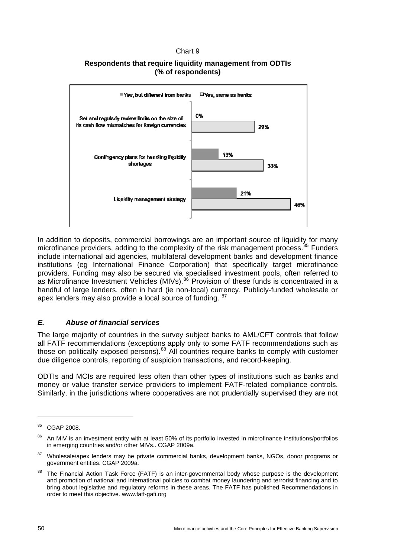## Chart 9

## **Respondents that require liquidity management from ODTIs (% of respondents)**



In addition to deposits, commercial borrowings are an important source of liquidity for many microfinance providers, adding to the complexity of the risk management process.<sup>[85](#page-55-0)</sup> Funders include international aid agencies, multilateral development banks and development finance institutions (eg International Finance Corporation) that specifically target microfinance providers. Funding may also be secured via specialised investment pools, often referred to as Microfinance Investment Vehicles (MIVs).<sup>[86](#page-55-1)</sup> Provision of these funds is concentrated in a handful of large lenders, often in hard (ie non-local) currency. Publicly-funded wholesale or apex lenders may also provide a local source of funding. <sup>[87](#page-55-2)</sup>

## *E. Abuse of financial services*

The large majority of countries in the survey subject banks to AML/CFT controls that follow all FATF recommendations (exceptions apply only to some FATF recommendations such as those on politically exposed persons).<sup>[88](#page-55-3)</sup> All countries require banks to comply with customer due diligence controls, reporting of suspicion transactions, and record-keeping.

ODTIs and MCIs are required less often than other types of institutions such as banks and money or value transfer service providers to implement FATF-related compliance controls. Similarly, in the jurisdictions where cooperatives are not prudentially supervised they are not

<span id="page-55-0"></span><sup>85</sup> CGAP 2008.

<span id="page-55-1"></span><sup>86</sup> An MIV is an investment entity with at least 50% of its portfolio invested in microfinance institutions/portfolios in emerging countries and/or other MIVs.. CGAP 2009a.

<span id="page-55-2"></span><sup>&</sup>lt;sup>87</sup> Wholesale/apex lenders may be private commercial banks, development banks, NGOs, donor programs or government entities. CGAP 2009a.

<span id="page-55-3"></span>The Financial Action Task Force (FATF) is an inter-governmental body whose purpose is the development and promotion of national and international policies to combat money laundering and terrorist financing and to bring about legislative and regulatory reforms in these areas. The FATF has published Recommendations in order to meet this objective. www.fatf-gafi.org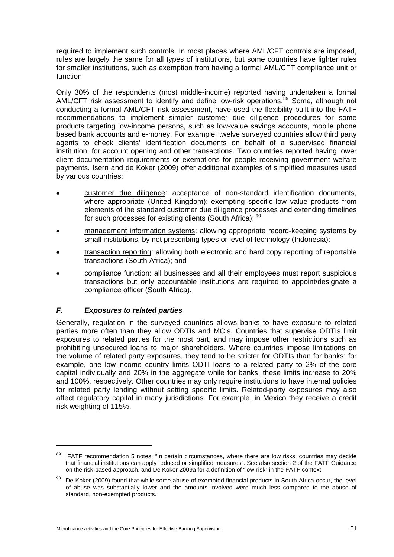required to implement such controls. In most places where AML/CFT controls are imposed, rules are largely the same for all types of institutions, but some countries have lighter rules for smaller institutions, such as exemption from having a formal AML/CFT compliance unit or function.

Only 30% of the respondents (most middle-income) reported having undertaken a formal AML/CFT risk assessment to identify and define low-risk operations.<sup>[89](#page-56-0)</sup> Some, although not conducting a formal AML/CFT risk assessment, have used the flexibility built into the FATF recommendations to implement simpler customer due diligence procedures for some products targeting low-income persons, such as low-value savings accounts, mobile phone based bank accounts and e-money. For example, twelve surveyed countries allow third party agents to check clients' identification documents on behalf of a supervised financial institution, for account opening and other transactions. Two countries reported having lower client documentation requirements or exemptions for people receiving government welfare payments. Isern and de Koker (2009) offer additional examples of simplified measures used by various countries:

- customer due diligence: acceptance of non-standard identification documents, where appropriate (United Kingdom); exempting specific low value products from elements of the standard customer due diligence processes and extending timelines for such processes for existing clients (South Africa);  $\frac{90}{20}$  $\frac{90}{20}$  $\frac{90}{20}$
- management information systems: allowing appropriate record-keeping systems by small institutions, by not prescribing types or level of technology (Indonesia);
- transaction reporting: allowing both electronic and hard copy reporting of reportable transactions (South Africa); and
- compliance function: all businesses and all their employees must report suspicious transactions but only accountable institutions are required to appoint/designate a compliance officer (South Africa).

## *F. Exposures to related parties*

Generally, regulation in the surveyed countries allows banks to have exposure to related parties more often than they allow ODTIs and MCIs. Countries that supervise ODTIs limit exposures to related parties for the most part, and may impose other restrictions such as prohibiting unsecured loans to major shareholders. Where countries impose limitations on the volume of related party exposures, they tend to be stricter for ODTIs than for banks; for example, one low-income country limits ODTI loans to a related party to 2% of the core capital individually and 20% in the aggregate while for banks, these limits increase to 20% and 100%, respectively. Other countries may only require institutions to have internal policies for related party lending without setting specific limits. Related-party exposures may also affect regulatory capital in many jurisdictions. For example, in Mexico they receive a credit risk weighting of 115%.

<span id="page-56-0"></span><sup>&</sup>lt;sup>89</sup> FATF recommendation 5 notes: "In certain circumstances, where there are low risks, countries may decide that financial institutions can apply reduced or simplified measures". See also section 2 of the FATF Guidance on the risk-based approach, and De Koker 2009a for a definition of "low-risk" in the FATF context.

<span id="page-56-1"></span><sup>90</sup> De Koker (2009) found that while some abuse of exempted financial products in South Africa occur, the level of abuse was substantially lower and the amounts involved were much less compared to the abuse of standard, non-exempted products.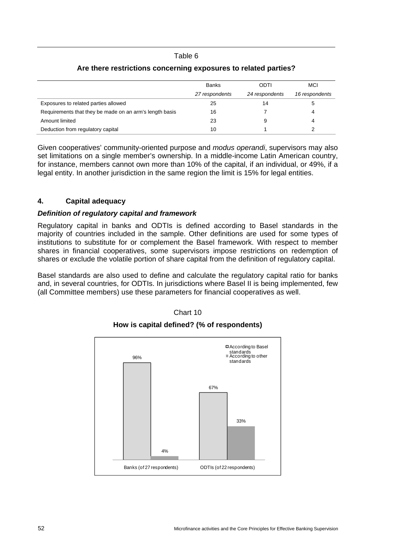#### Table 6

|                                                         | <b>Banks</b>   | ODTI           | <b>MCI</b>     |
|---------------------------------------------------------|----------------|----------------|----------------|
|                                                         | 27 respondents | 24 respondents | 16 respondents |
| Exposures to related parties allowed                    | 25             | 14             |                |
| Requirements that they be made on an arm's length basis | 16             |                |                |
| Amount limited                                          | 23             |                |                |
| Deduction from regulatory capital                       | 10             |                |                |

## **Are there restrictions concerning exposures to related parties?**

Given cooperatives' community-oriented purpose and *modus operandi*, supervisors may also set limitations on a single member's ownership. In a middle-income Latin American country, for instance, members cannot own more than 10% of the capital, if an individual, or 49%, if a legal entity. In another jurisdiction in the same region the limit is 15% for legal entities.

## <span id="page-57-0"></span>**4. Capital adequacy**

## *Definition of regulatory capital and framework*

Regulatory capital in banks and ODTIs is defined according to Basel standards in the majority of countries included in the sample. Other definitions are used for some types of institutions to substitute for or complement the Basel framework. With respect to member shares in financial cooperatives, some supervisors impose restrictions on redemption of shares or exclude the volatile portion of share capital from the definition of regulatory capital.

Basel standards are also used to define and calculate the regulatory capital ratio for banks and, in several countries, for ODTIs. In jurisdictions where Basel II is being implemented, few (all Committee members) use these parameters for financial cooperatives as well.



Chart 10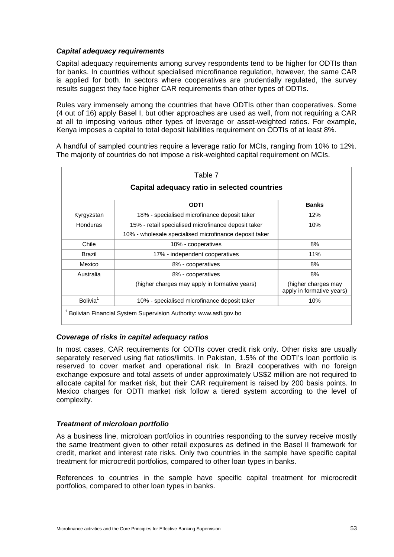## *Capital adequacy requirements*

Capital adequacy requirements among survey respondents tend to be higher for ODTIs than for banks. In countries without specialised microfinance regulation, however, the same CAR is applied for both. In sectors where cooperatives are prudentially regulated, the survey results suggest they face higher CAR requirements than other types of ODTIs.

Rules vary immensely among the countries that have ODTIs other than cooperatives. Some (4 out of 16) apply Basel I, but other approaches are used as well, from not requiring a CAR at all to imposing various other types of leverage or asset-weighted ratios. For example, Kenya imposes a capital to total deposit liabilities requirement on ODTIs of at least 8%.

A handful of sampled countries require a leverage ratio for MCIs, ranging from 10% to 12%. The majority of countries do not impose a risk-weighted capital requirement on MCIs.

|                                              | Table 7                                                |                                                  |  |
|----------------------------------------------|--------------------------------------------------------|--------------------------------------------------|--|
| Capital adequacy ratio in selected countries |                                                        |                                                  |  |
|                                              | <b>ODTI</b>                                            | <b>Banks</b>                                     |  |
| Kyrgyzstan                                   | 18% - specialised microfinance deposit taker           | 12%                                              |  |
| Honduras                                     | 15% - retail specialised microfinance deposit taker    | 10%                                              |  |
|                                              | 10% - wholesale specialised microfinance deposit taker |                                                  |  |
| Chile                                        | 10% - cooperatives                                     | 8%                                               |  |
| <b>Brazil</b>                                | 17% - independent cooperatives                         | 11%                                              |  |
| Mexico                                       | 8% - cooperatives                                      | 8%                                               |  |
| Australia                                    | 8% - cooperatives                                      | 8%                                               |  |
|                                              | (higher charges may apply in formative years)          | (higher charges may<br>apply in formative years) |  |
| Bolivia <sup>1</sup>                         | 10% - specialised microfinance deposit taker           | 10%                                              |  |

## *Coverage of risks in capital adequacy ratios*

In most cases, CAR requirements for ODTIs cover credit risk only. Other risks are usually separately reserved using flat ratios/limits. In Pakistan, 1.5% of the ODTI's loan portfolio is reserved to cover market and operational risk. In Brazil cooperatives with no foreign exchange exposure and total assets of under approximately US\$2 million are not required to allocate capital for market risk, but their CAR requirement is raised by 200 basis points. In Mexico charges for ODTI market risk follow a tiered system according to the level of complexity.

#### *Treatment of microloan portfolio*

As a business line, microloan portfolios in countries responding to the survey receive mostly the same treatment given to other retail exposures as defined in the Basel II framework for credit, market and interest rate risks. Only two countries in the sample have specific capital treatment for microcredit portfolios, compared to other loan types in banks.

References to countries in the sample have specific capital treatment for microcredit portfolios, compared to other loan types in banks.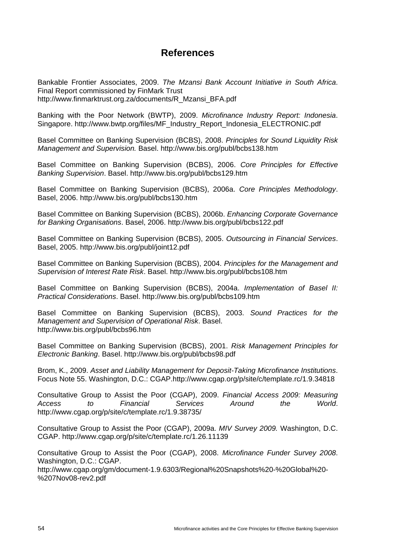## **References**

<span id="page-59-0"></span>Bankable Frontier Associates, 2009. *The Mzansi Bank Account Initiative in South Africa*. Final Report commissioned by FinMark Trust [http://www.finmarktrust.org.za/documents/R\\_Mzansi\\_BFA.pdf](http://www.finmarktrust.org.za/documents/R_Mzansi_BFA.pdf) 

Banking with the Poor Network (BWTP), 2009. *Microfinance Industry Report: Indonesia*. Singapore. http://www.bwtp.org/files/MF\_Industry\_Report\_Indonesia\_ELECTRONIC.pdf

Basel Committee on Banking Supervision (BCBS), 2008. *Principles for Sound Liquidity Risk Management and Supervision.* Basel. http://www.bis.org/publ/bcbs138.htm

Basel Committee on Banking Supervision (BCBS), 2006. *Core Principles for Effective Banking Supervision*. Basel. http://www.bis.org/publ/bcbs129.htm

Basel Committee on Banking Supervision (BCBS), 2006a. *Core Principles Methodology*. Basel, 2006. http://www.bis.org/publ/bcbs130.htm

Basel Committee on Banking Supervision (BCBS), 2006b. *Enhancing Corporate Governance for Banking Organisations*. Basel, 2006. http://www.bis.org/publ/bcbs122.pdf

Basel Committee on Banking Supervision (BCBS), 2005. *Outsourcing in Financial Services*. Basel, 2005. http://www.bis.org/publ/joint12.pdf

Basel Committee on Banking Supervision (BCBS), 2004. *Principles for the Management and Supervision of Interest Rate Risk*. Basel. http://www.bis.org/publ/bcbs108.htm

Basel Committee on Banking Supervision (BCBS), 2004a. *Implementation of Basel II: Practical Considerations*. Basel. http://www.bis.org/publ/bcbs109.htm

Basel Committee on Banking Supervision (BCBS), 2003. *Sound Practices for the Management and Supervision of Operational Risk*. Basel. http://www.bis.org/publ/bcbs96.htm

Basel Committee on Banking Supervision (BCBS), 2001. *Risk Management Principles for Electronic Banking*. Basel. http://www.bis.org/publ/bcbs98.pdf

Brom, K., 2009. *Asset and Liability Management for Deposit-Taking Microfinance Institutions*. Focus Note 55. Washington, D.C.: CGAP.http://www.cgap.org/p/site/c/template.rc/1.9.34818

Consultative Group to Assist the Poor (CGAP), 2009. *Financial Access 2009: Measuring Access to Financial Services Around the World*. http://www.cgap.org/p/site/c/template.rc/1.9.38735/

Consultative Group to Assist the Poor (CGAP), 2009a. *MIV Survey 2009.* Washington, D.C. CGAP. http://www.cgap.org/p/site/c/template.rc/1.26.11139

Consultative Group to Assist the Poor (CGAP), 2008. *Microfinance Funder Survey 2008*. Washington, D.C.: CGAP.

[http://www.cgap.org/gm/document-1.9.6303/Regional%20Snapshots%20-%20Global%20-](http://www.cgap.org/gm/document-1.9.6303/Regional%20Snapshots%20-%20Global%20-%207Nov08-rev2.pdf) [%207Nov08-rev2.pdf](http://www.cgap.org/gm/document-1.9.6303/Regional%20Snapshots%20-%20Global%20-%207Nov08-rev2.pdf)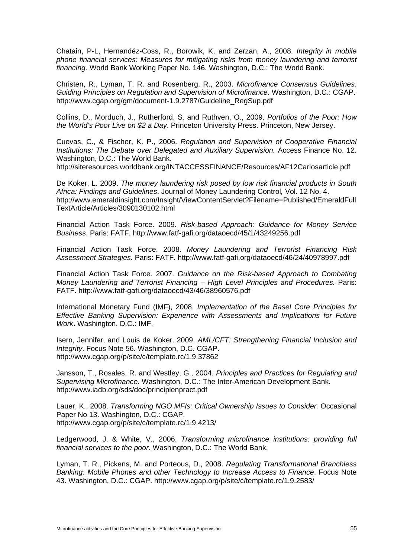Chatain, P-L, Hernandéz-Coss, R., Borowik, K, and Zerzan, A., 2008. *Integrity in mobile phone financial services: Measures for mitigating risks from money laundering and terrorist financing.* World Bank Working Paper No. 146. Washington, D.C.: The World Bank.

Christen, R., Lyman, T. R. and Rosenberg, R., 2003. *Microfinance Consensus Guidelines. Guiding Principles on Regulation and Supervision of Microfinance*. Washington, D.C.: CGAP. http://www.cgap.org/gm/document-1.9.2787/Guideline\_RegSup.pdf

Collins, D., Morduch, J., Rutherford, S. and Ruthven, O., 2009. *Portfolios of the Poor: How the World's Poor Live on \$2 a Day*. Princeton University Press. Princeton, New Jersey.

Cuevas, C., & Fischer, K. P., 2006. *Regulation and Supervision of Cooperative Financial Institutions: The Debate over Delegated and Auxiliary Supervision.* Access Finance No. 12. Washington, D.C.: The World Bank.

http://siteresources.worldbank.org/INTACCESSFINANCE/Resources/AF12Carlosarticle.pdf

De Koker, L. 2009. *The money laundering risk posed by low risk financial products in South Africa: Findings and Guidelines*. Journal of Money Laundering Control*,* Vol. 12 No. 4. [http://www.emeraldinsight.com/Insight/ViewContentServlet?Filename=Published/EmeraldFull](http://www.emeraldinsight.com/Insight/ViewContentServlet?Filename=Published/EmeraldFullTextArticle/Articles/3090130102.html) [TextArticle/Articles/3090130102.html](http://www.emeraldinsight.com/Insight/ViewContentServlet?Filename=Published/EmeraldFullTextArticle/Articles/3090130102.html)

Financial Action Task Force. 2009. *Risk-based Approach: Guidance for Money Service Business*. Paris: FATF. http://www.fatf-gafi.org/dataoecd/45/1/43249256.pdf

Financial Action Task Force. 2008. *Money Laundering and Terrorist Financing Risk Assessment Strategies.* Paris: FATF. http://www.fatf-gafi.org/dataoecd/46/24/40978997.pdf

Financial Action Task Force. 2007. *Guidance on the Risk-based Approach to Combating Money Laundering and Terrorist Financing – High Level Principles and Procedures. Paris:* FATF. http://www.fatf-gafi.org/dataoecd/43/46/38960576.pdf

International Monetary Fund (IMF), 2008. *Implementation of the Basel Core Principles for Effective Banking Supervision: Experience with Assessments and Implications for Future Work*. Washington, D.C.: IMF.

Isern, Jennifer, and Louis de Koker. 2009. *AML/CFT: Strengthening Financial Inclusion and Integrity*. Focus Note 56. Washington, D.C. CGAP. http://www.cgap.org/p/site/c/template.rc/1.9.37862

Jansson, T., Rosales, R. and Westley, G., 2004. *Principles and Practices for Regulating and Supervising Microfinance.* Washington, D.C.: The Inter-American Development Bank. http://www.iadb.org/sds/doc/principlenpract.pdf

Lauer, K., 2008. *Transforming NGO MFIs: Critical Ownership Issues to Consider.* Occasional Paper No 13. Washington, D.C.: CGAP. http://www.cgap.org/p/site/c/template.rc/1.9.4213/

Ledgerwood, J. & White, V., 2006. *Transforming microfinance institutions: providing full financial services to the poor*. Washington, D.C.: The World Bank.

Lyman, T. R., Pickens, M. and Porteous, D., 2008. *Regulating Transformational Branchless Banking: Mobile Phones and other Technology to Increase Access to Finance*. Focus Note 43. Washington, D.C.: CGAP. http://www.cgap.org/p/site/c/template.rc/1.9.2583/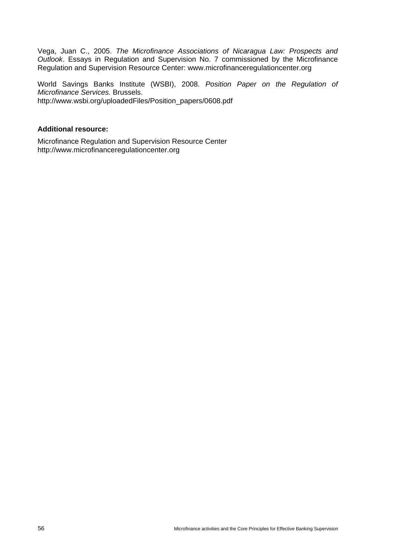Vega, Juan C., 2005. *The Microfinance Associations of Nicaragua Law: Prospects and Outlook*. Essays in Regulation and Supervision No. 7 commissioned by the Microfinance Regulation and Supervision Resource Center: [www.microfinanceregulationcenter.org](http://www.microfinanceregulationcenter.org/) 

World Savings Banks Institute (WSBI), 2008. *Position Paper on the Regulation of Microfinance Services.* Brussels. http://www.wsbi.org/uploadedFiles/Position\_papers/0608.pdf

## **Additional resource:**

Microfinance Regulation and Supervision Resource Center [http://www.microfinanceregulationcenter.org](http://www.microfinanceregulationcenter.org/)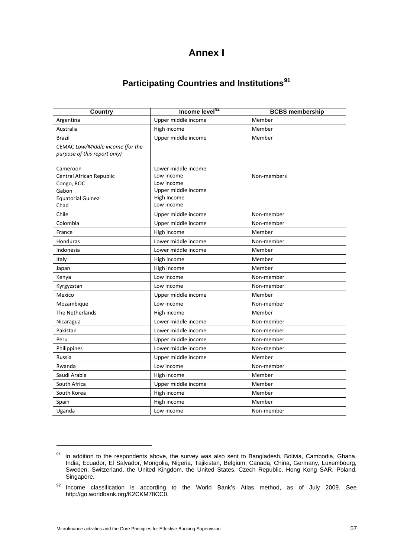# **Annex I**

# **Participating Countries and Institutions[91](#page-62-0)**

| <b>Country</b>                                                   | Income level <sup>92</sup>         | <b>BCBS</b> membership |
|------------------------------------------------------------------|------------------------------------|------------------------|
| Argentina                                                        | Upper middle income                | Member                 |
| Australia                                                        | High income                        | Member                 |
| <b>Brazil</b>                                                    | Upper middle income                | Member                 |
| CEMAC Low/Middle income (for the<br>purpose of this report only) |                                    |                        |
| Cameroon                                                         | Lower middle income                |                        |
| Central African Republic                                         | Low income                         | Non-members            |
| Congo, ROC                                                       | Low income                         |                        |
| Gabon                                                            | Upper middle income<br>High Income |                        |
| <b>Equatorial Guinea</b><br>Chad                                 | Low income                         |                        |
| Chile                                                            | Upper middle income                | Non-member             |
| Colombia                                                         | Upper middle income                | Non-member             |
| France                                                           | High income                        | Member                 |
| <b>Honduras</b>                                                  | Lower middle income                | Non-member             |
| Indonesia                                                        | Lower middle income                | Member                 |
| Italy                                                            | High income                        | Member                 |
| Japan                                                            | High income                        | Member                 |
| Kenya                                                            | Low income                         | Non-member             |
| Kyrgyzstan                                                       | Low income                         | Non-member             |
| Mexico                                                           | Upper middle income                | Member                 |
| Mozambique                                                       | Low income                         | Non-member             |
| The Netherlands                                                  | High income                        | Member                 |
| Nicaragua                                                        | Lower middle income                | Non-member             |
| Pakistan                                                         | Lower middle income                | Non-member             |
| Peru                                                             | Upper middle income                | Non-member             |
| Philippines                                                      | Lower middle income                | Non-member             |
| Russia                                                           | Upper middle income                | Member                 |
| Rwanda                                                           | Low income                         | Non-member             |
| Saudi Arabia                                                     | High income                        | Member                 |
| South Africa                                                     | Upper middle income                | Member                 |
| South Korea                                                      | High income                        | Member                 |
| Spain                                                            | High income                        | Member                 |
| Uganda                                                           | Low income                         | Non-member             |

<span id="page-62-0"></span><sup>91</sup> In addition to the respondents above, the survey was also sent to Bangladesh, Bolivia, Cambodia, Ghana, India, Ecuador, El Salvador, Mongolia, Nigeria, Tajikistan, Belgium, Canada, China, Germany, Luxembourg, Sweden, Switzerland, the United Kingdom, the United States, Czech Republic, Hong Kong SAR, Poland, Singapore.

<span id="page-62-1"></span> $92$  Income classification is according to the World Bank's Atlas method, as of July 2009. See <http://go.worldbank.org/K2CKM78CC0>.